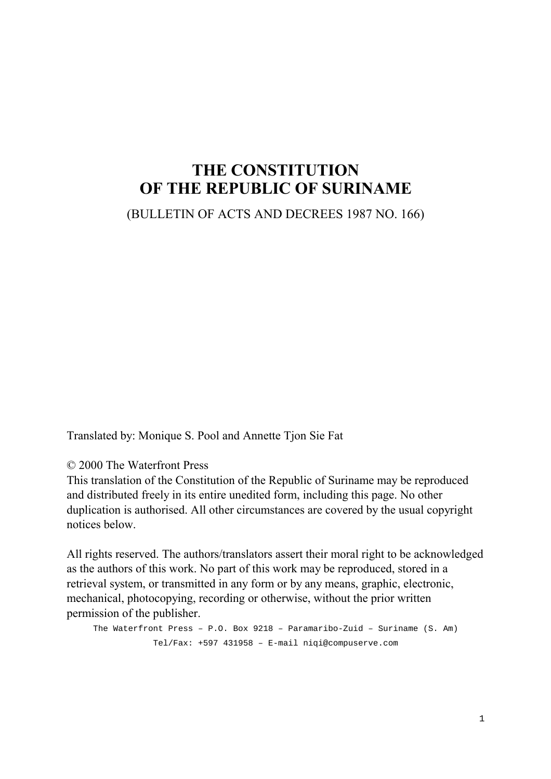# **THE CONSTITUTION OF THE REPUBLIC OF SURINAME**

(BULLETIN OF ACTS AND DECREES 1987 NO. 166)

Translated by: Monique S. Pool and Annette Tjon Sie Fat

© 2000 The Waterfront Press

This translation of the Constitution of the Republic of Suriname may be reproduced and distributed freely in its entire unedited form, including this page. No other duplication is authorised. All other circumstances are covered by the usual copyright notices below.

All rights reserved. The authors/translators assert their moral right to be acknowledged as the authors of this work. No part of this work may be reproduced, stored in a retrieval system, or transmitted in any form or by any means, graphic, electronic, mechanical, photocopying, recording or otherwise, without the prior written permission of the publisher.

```
The Waterfront Press – P.O. Box 9218 – Paramaribo-Zuid – Suriname (S. Am)
Tel/Fax: +597 431958 – E-mail niqi@compuserve.com
```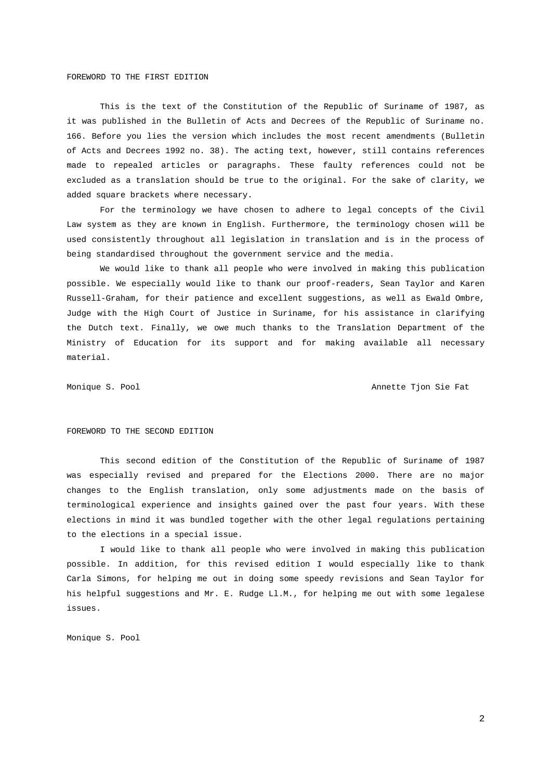#### FOREWORD TO THE FIRST EDITION

This is the text of the Constitution of the Republic of Suriname of 1987, as it was published in the Bulletin of Acts and Decrees of the Republic of Suriname no. 166. Before you lies the version which includes the most recent amendments (Bulletin of Acts and Decrees 1992 no. 38). The acting text, however, still contains references made to repealed articles or paragraphs. These faulty references could not be excluded as a translation should be true to the original. For the sake of clarity, we added square brackets where necessary.

For the terminology we have chosen to adhere to legal concepts of the Civil Law system as they are known in English. Furthermore, the terminology chosen will be used consistently throughout all legislation in translation and is in the process of being standardised throughout the government service and the media.

We would like to thank all people who were involved in making this publication possible. We especially would like to thank our proof-readers, Sean Taylor and Karen Russell-Graham, for their patience and excellent suggestions, as well as Ewald Ombre, Judge with the High Court of Justice in Suriname, for his assistance in clarifying the Dutch text. Finally, we owe much thanks to the Translation Department of the Ministry of Education for its support and for making available all necessary material.

Monique S. Pool Annette Tjon Sie Fat

#### FOREWORD TO THE SECOND EDITION

This second edition of the Constitution of the Republic of Suriname of 1987 was especially revised and prepared for the Elections 2000. There are no major changes to the English translation, only some adjustments made on the basis of terminological experience and insights gained over the past four years. With these elections in mind it was bundled together with the other legal regulations pertaining to the elections in a special issue.

I would like to thank all people who were involved in making this publication possible. In addition, for this revised edition I would especially like to thank Carla Simons, for helping me out in doing some speedy revisions and Sean Taylor for his helpful suggestions and Mr. E. Rudge Ll.M., for helping me out with some legalese issues.

Monique S. Pool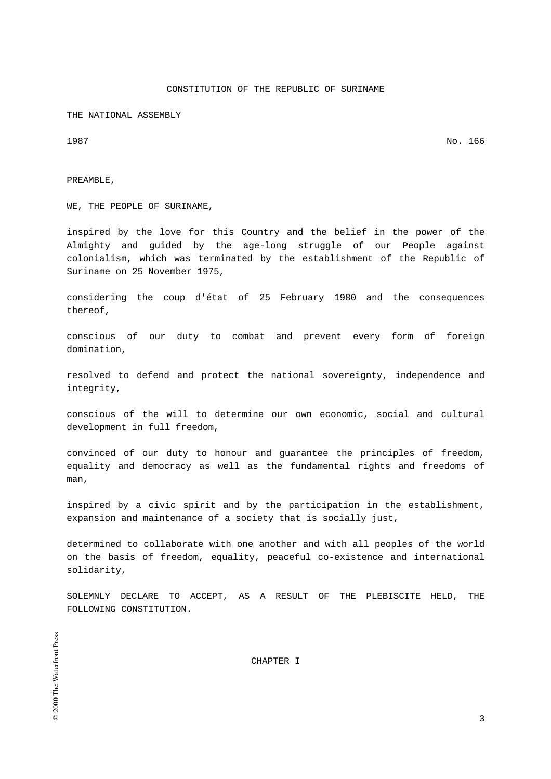# CONSTITUTION OF THE REPUBLIC OF SURINAME

THE NATIONAL ASSEMBLY

1987 No. 166

PREAMBLE,

WE, THE PEOPLE OF SURINAME,

inspired by the love for this Country and the belief in the power of the Almighty and guided by the age-long struggle of our People against colonialism, which was terminated by the establishment of the Republic of Suriname on 25 November 1975,

considering the coup d'état of 25 February 1980 and the consequences thereof,

conscious of our duty to combat and prevent every form of foreign domination,

resolved to defend and protect the national sovereignty, independence and integrity,

conscious of the will to determine our own economic, social and cultural development in full freedom,

convinced of our duty to honour and guarantee the principles of freedom, equality and democracy as well as the fundamental rights and freedoms of man,

inspired by a civic spirit and by the participation in the establishment, expansion and maintenance of a society that is socially just,

determined to collaborate with one another and with all peoples of the world on the basis of freedom, equality, peaceful co-existence and international solidarity,

SOLEMNLY DECLARE TO ACCEPT, AS A RESULT OF THE PLEBISCITE HELD, THE FOLLOWING CONSTITUTION.

CHAPTER I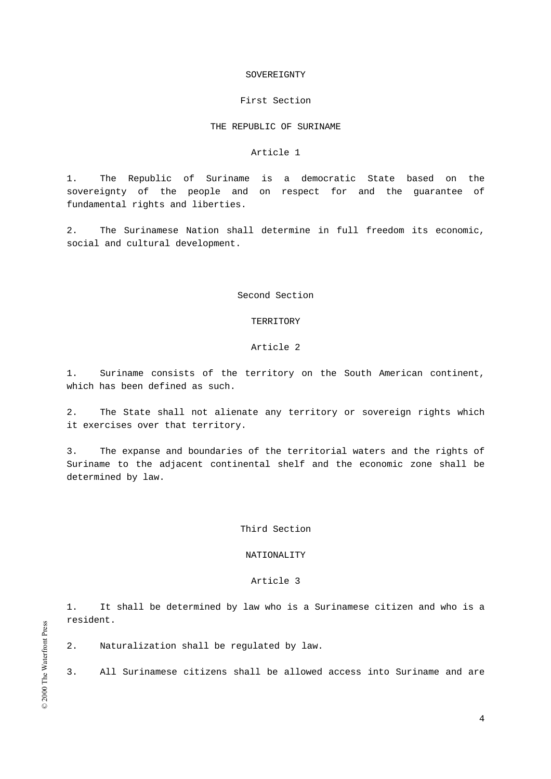#### SOVEREIGNTY

#### First Section

# THE REPUBLIC OF SURINAME

#### Article 1

1. The Republic of Suriname is a democratic State based on the sovereignty of the people and on respect for and the guarantee of fundamental rights and liberties.

2. The Surinamese Nation shall determine in full freedom its economic, social and cultural development.

Second Section

#### TERRITORY

#### Article 2

1. Suriname consists of the territory on the South American continent, which has been defined as such.

2. The State shall not alienate any territory or sovereign rights which it exercises over that territory.

3. The expanse and boundaries of the territorial waters and the rights of Suriname to the adjacent continental shelf and the economic zone shall be determined by law.

#### Third Section

# NATIONALITY

# Article 3

1. It shall be determined by law who is a Surinamese citizen and who is a resident.

2. Naturalization shall be regulated by law.

3. All Surinamese citizens shall be allowed access into Suriname and are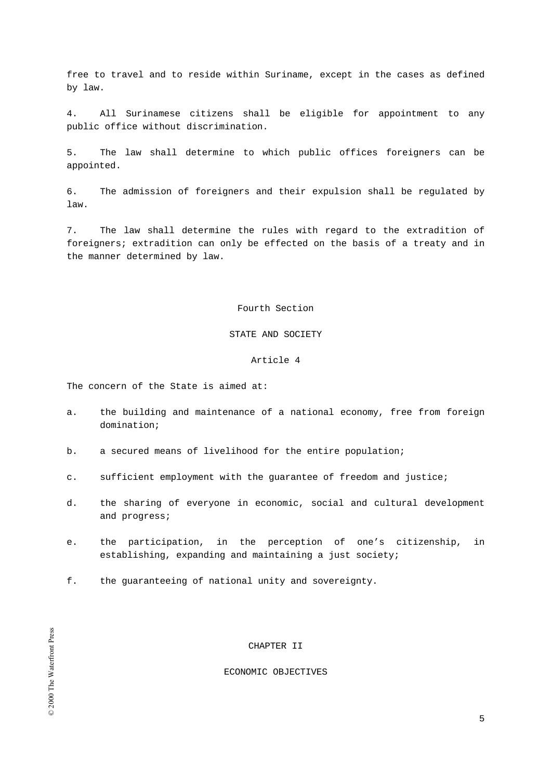free to travel and to reside within Suriname, except in the cases as defined by law.

4. All Surinamese citizens shall be eligible for appointment to any public office without discrimination.

5. The law shall determine to which public offices foreigners can be appointed.

6. The admission of foreigners and their expulsion shall be regulated by law.

7. The law shall determine the rules with regard to the extradition of foreigners; extradition can only be effected on the basis of a treaty and in the manner determined by law.

# Fourth Section

# STATE AND SOCIETY

# Article 4

The concern of the State is aimed at:

- a. the building and maintenance of a national economy, free from foreign domination;
- b. a secured means of livelihood for the entire population;
- c. sufficient employment with the guarantee of freedom and justice;
- d. the sharing of everyone in economic, social and cultural development and progress;
- e. the participation, in the perception of one's citizenship, in establishing, expanding and maintaining a just society;
- f. the guaranteeing of national unity and sovereignty.

# CHAPTER II

#### ECONOMIC OBJECTIVES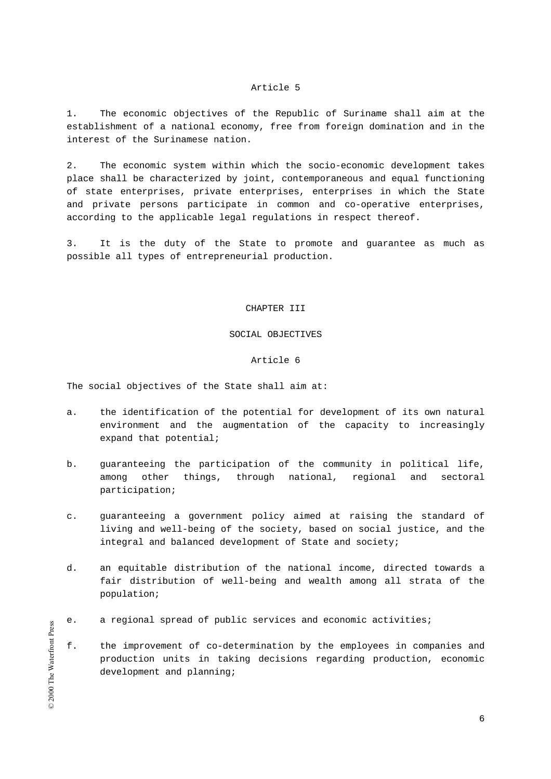1. The economic objectives of the Republic of Suriname shall aim at the establishment of a national economy, free from foreign domination and in the interest of the Surinamese nation.

2. The economic system within which the socio-economic development takes place shall be characterized by joint, contemporaneous and equal functioning of state enterprises, private enterprises, enterprises in which the State and private persons participate in common and co-operative enterprises, according to the applicable legal regulations in respect thereof.

3. It is the duty of the State to promote and guarantee as much as possible all types of entrepreneurial production.

# CHAPTER III

# SOCIAL OBJECTIVES

# Article 6

The social objectives of the State shall aim at:

- a. the identification of the potential for development of its own natural environment and the augmentation of the capacity to increasingly expand that potential;
- b. guaranteeing the participation of the community in political life, among other things, through national, regional and sectoral participation;
- c. guaranteeing a government policy aimed at raising the standard of living and well-being of the society, based on social justice, and the integral and balanced development of State and society;
- d. an equitable distribution of the national income, directed towards a fair distribution of well-being and wealth among all strata of the population;
- e. a regional spread of public services and economic activities;
- f. the improvement of co-determination by the employees in companies and production units in taking decisions regarding production, economic development and planning;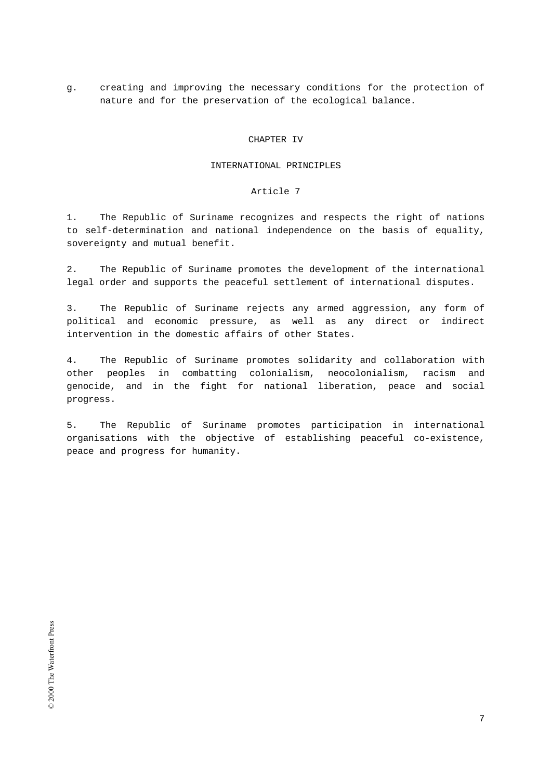g. creating and improving the necessary conditions for the protection of nature and for the preservation of the ecological balance.

#### CHAPTER IV

#### INTERNATIONAL PRINCIPLES

#### Article 7

1. The Republic of Suriname recognizes and respects the right of nations to self-determination and national independence on the basis of equality, sovereignty and mutual benefit.

2. The Republic of Suriname promotes the development of the international legal order and supports the peaceful settlement of international disputes.

3. The Republic of Suriname rejects any armed aggression, any form of political and economic pressure, as well as any direct or indirect intervention in the domestic affairs of other States.

4. The Republic of Suriname promotes solidarity and collaboration with other peoples in combatting colonialism, neocolonialism, racism and genocide, and in the fight for national liberation, peace and social progress.

5. The Republic of Suriname promotes participation in international organisations with the objective of establishing peaceful co-existence, peace and progress for humanity.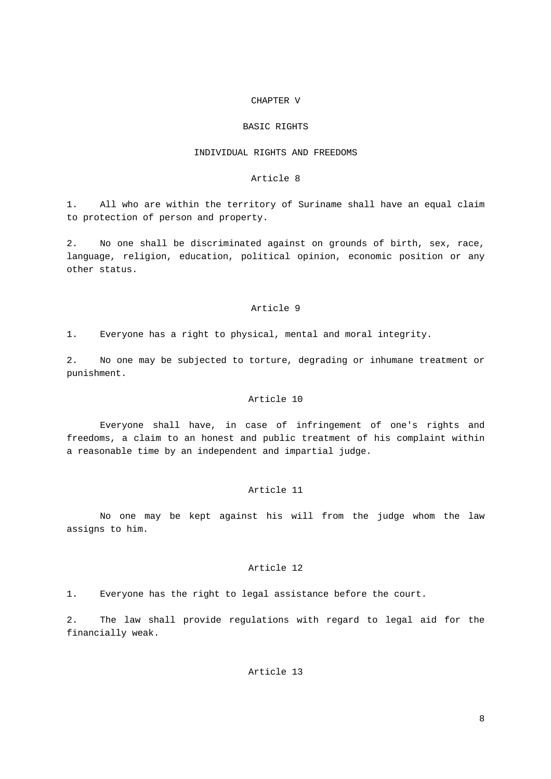#### CHAPTER V

#### BASIC RIGHTS

# INDIVIDUAL RIGHTS AND FREEDOMS

#### Article 8

1. All who are within the territory of Suriname shall have an equal claim to protection of person and property.

2. No one shall be discriminated against on grounds of birth, sex, race, language, religion, education, political opinion, economic position or any other status.

# Article 9

1. Everyone has a right to physical, mental and moral integrity.

2. No one may be subjected to torture, degrading or inhumane treatment or punishment.

# Article 10

Everyone shall have, in case of infringement of one's rights and freedoms, a claim to an honest and public treatment of his complaint within a reasonable time by an independent and impartial judge.

# Article 11

No one may be kept against his will from the judge whom the law assigns to him.

# Article 12

1. Everyone has the right to legal assistance before the court.

2. The law shall provide regulations with regard to legal aid for the financially weak.

# Article 13

8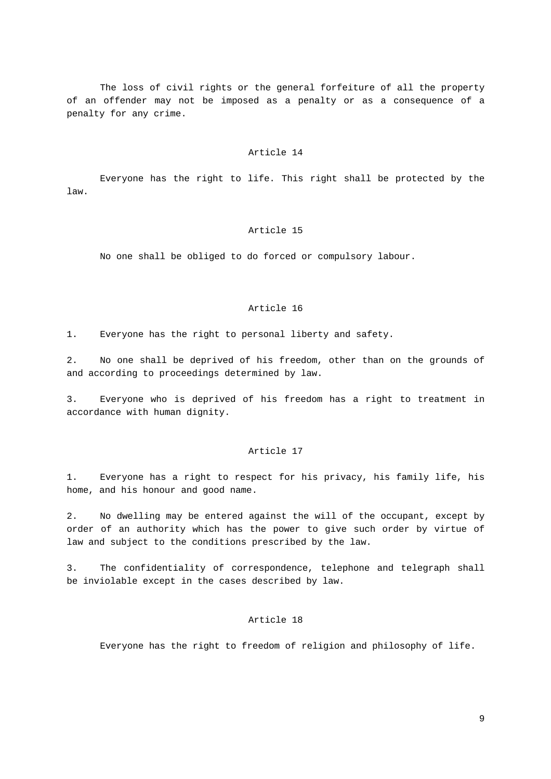The loss of civil rights or the general forfeiture of all the property of an offender may not be imposed as a penalty or as a consequence of a penalty for any crime.

#### Article 14

Everyone has the right to life. This right shall be protected by the law.

# Article 15

No one shall be obliged to do forced or compulsory labour.

# Article 16

1. Everyone has the right to personal liberty and safety.

2. No one shall be deprived of his freedom, other than on the grounds of and according to proceedings determined by law.

3. Everyone who is deprived of his freedom has a right to treatment in accordance with human dignity.

#### Article 17

1. Everyone has a right to respect for his privacy, his family life, his home, and his honour and good name.

2. No dwelling may be entered against the will of the occupant, except by order of an authority which has the power to give such order by virtue of law and subject to the conditions prescribed by the law.

3. The confidentiality of correspondence, telephone and telegraph shall be inviolable except in the cases described by law.

#### Article 18

Everyone has the right to freedom of religion and philosophy of life.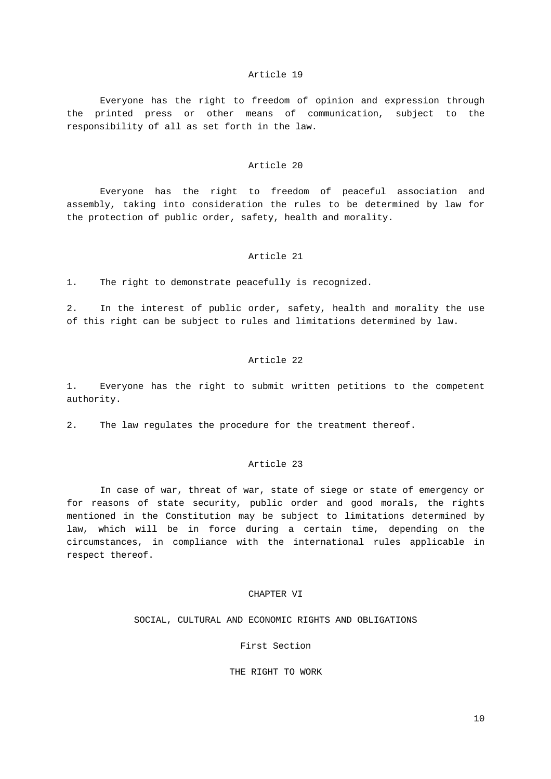Everyone has the right to freedom of opinion and expression through the printed press or other means of communication, subject to the responsibility of all as set forth in the law.

#### Article 20

Everyone has the right to freedom of peaceful association and assembly, taking into consideration the rules to be determined by law for the protection of public order, safety, health and morality.

#### Article 21

1. The right to demonstrate peacefully is recognized.

2. In the interest of public order, safety, health and morality the use of this right can be subject to rules and limitations determined by law.

# Article 22

1. Everyone has the right to submit written petitions to the competent authority.

2. The law regulates the procedure for the treatment thereof.

# Article 23

In case of war, threat of war, state of siege or state of emergency or for reasons of state security, public order and good morals, the rights mentioned in the Constitution may be subject to limitations determined by law, which will be in force during a certain time, depending on the circumstances, in compliance with the international rules applicable in respect thereof.

# CHAPTER VI

SOCIAL, CULTURAL AND ECONOMIC RIGHTS AND OBLIGATIONS

First Section

THE RIGHT TO WORK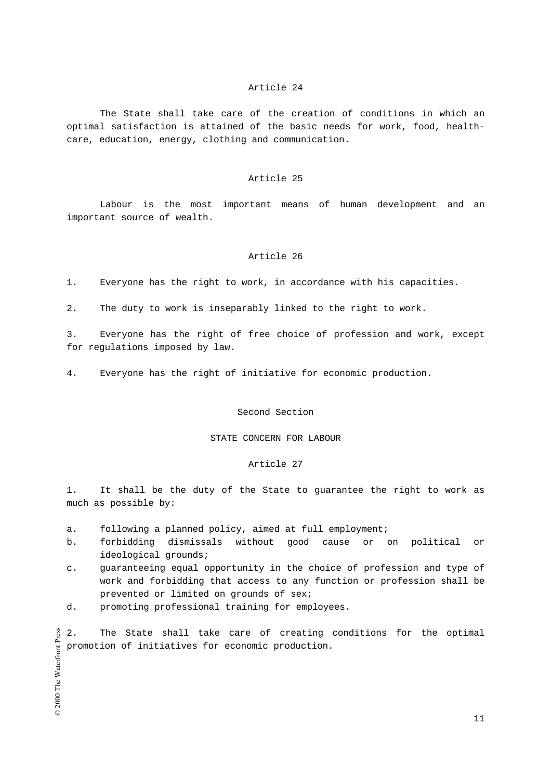The State shall take care of the creation of conditions in which an optimal satisfaction is attained of the basic needs for work, food, healthcare, education, energy, clothing and communication.

#### Article 25

Labour is the most important means of human development and an important source of wealth.

#### Article 26

1. Everyone has the right to work, in accordance with his capacities.

2. The duty to work is inseparably linked to the right to work.

3. Everyone has the right of free choice of profession and work, except for regulations imposed by law.

4. Everyone has the right of initiative for economic production.

### Second Section

#### STATE CONCERN FOR LABOUR

#### Article 27

1. It shall be the duty of the State to guarantee the right to work as much as possible by:

- a. following a planned policy, aimed at full employment;
- b. forbidding dismissals without good cause or on political or ideological grounds;
- c. guaranteeing equal opportunity in the choice of profession and type of work and forbidding that access to any function or profession shall be prevented or limited on grounds of sex;
- d. promoting professional training for employees.

© 2000 The Waterfront Press 2. The State shall take care of creating conditions for the optimal promotion of initiatives for economic production.

© 2000 The Waterfront Press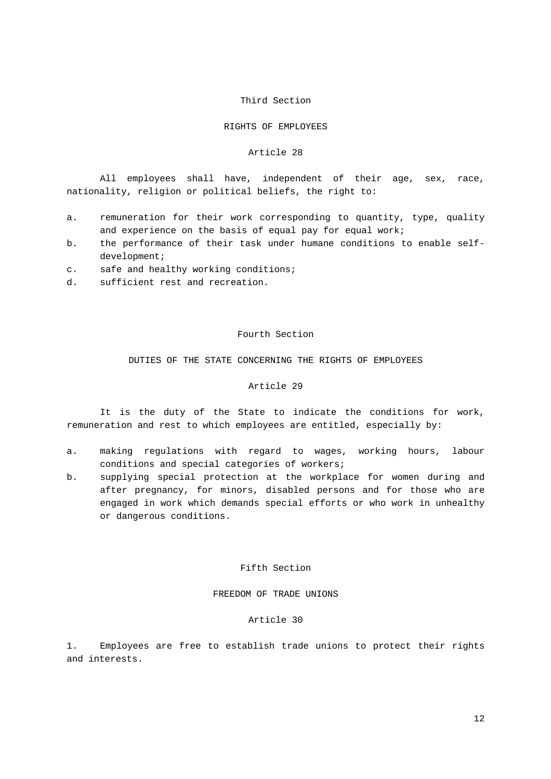#### Third Section

#### RIGHTS OF EMPLOYEES

#### Article 28

All employees shall have, independent of their age, sex, race, nationality, religion or political beliefs, the right to:

- a. remuneration for their work corresponding to quantity, type, quality and experience on the basis of equal pay for equal work;
- b. the performance of their task under humane conditions to enable selfdevelopment;
- c. safe and healthy working conditions;
- d. sufficient rest and recreation.

#### Fourth Section

DUTIES OF THE STATE CONCERNING THE RIGHTS OF EMPLOYEES

# Article 29

It is the duty of the State to indicate the conditions for work, remuneration and rest to which employees are entitled, especially by:

- a. making regulations with regard to wages, working hours, labour conditions and special categories of workers;
- b. supplying special protection at the workplace for women during and after pregnancy, for minors, disabled persons and for those who are engaged in work which demands special efforts or who work in unhealthy or dangerous conditions.

#### Fifth Section

FREEDOM OF TRADE UNIONS

#### Article 30

1. Employees are free to establish trade unions to protect their rights and interests.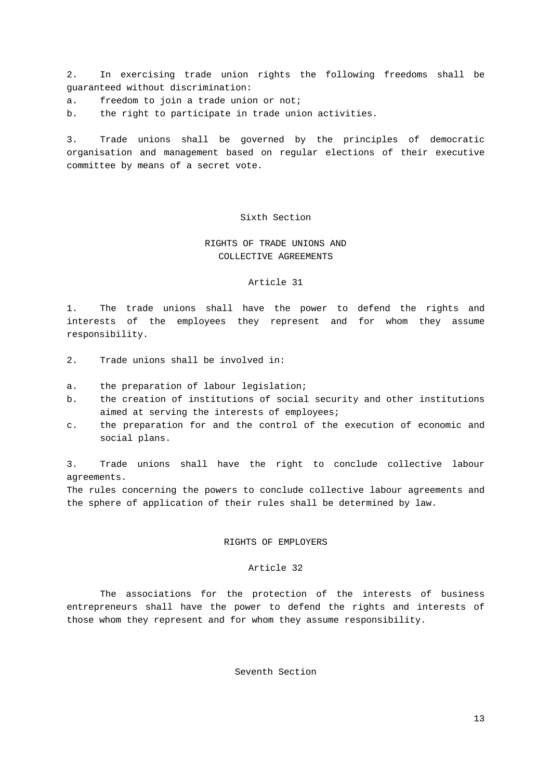2. In exercising trade union rights the following freedoms shall be guaranteed without discrimination:

a. freedom to join a trade union or not;

b. the right to participate in trade union activities.

3. Trade unions shall be governed by the principles of democratic organisation and management based on regular elections of their executive committee by means of a secret vote.

# Sixth Section

# RIGHTS OF TRADE UNIONS AND COLLECTIVE AGREEMENTS

#### Article 31

1. The trade unions shall have the power to defend the rights and interests of the employees they represent and for whom they assume responsibility.

- 2. Trade unions shall be involved in:
- a. the preparation of labour legislation;
- b. the creation of institutions of social security and other institutions aimed at serving the interests of employees;
- c. the preparation for and the control of the execution of economic and social plans.

3. Trade unions shall have the right to conclude collective labour agreements.

The rules concerning the powers to conclude collective labour agreements and the sphere of application of their rules shall be determined by law.

# RIGHTS OF EMPLOYERS

#### Article 32

The associations for the protection of the interests of business entrepreneurs shall have the power to defend the rights and interests of those whom they represent and for whom they assume responsibility.

Seventh Section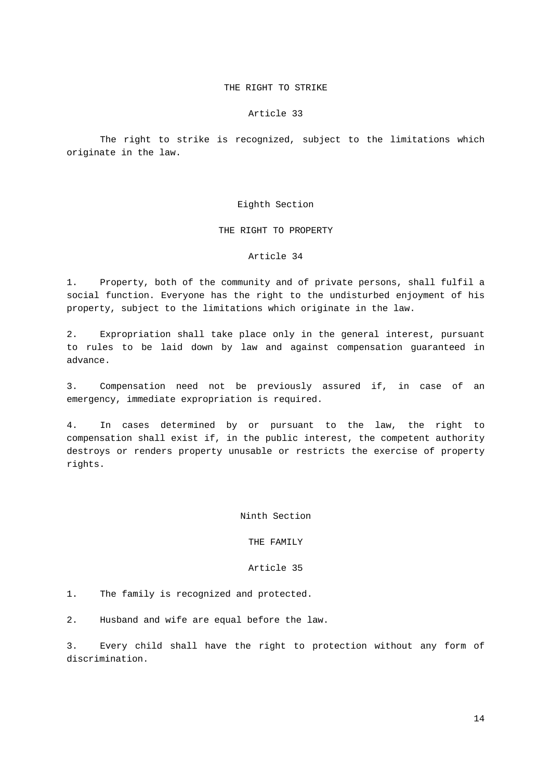# THE RIGHT TO STRIKE

#### Article 33

The right to strike is recognized, subject to the limitations which originate in the law.

#### Eighth Section

# THE RIGHT TO PROPERTY

#### Article 34

1. Property, both of the community and of private persons, shall fulfil a social function. Everyone has the right to the undisturbed enjoyment of his property, subject to the limitations which originate in the law.

2. Expropriation shall take place only in the general interest, pursuant to rules to be laid down by law and against compensation guaranteed in advance.

3. Compensation need not be previously assured if, in case of an emergency, immediate expropriation is required.

4. In cases determined by or pursuant to the law, the right to compensation shall exist if, in the public interest, the competent authority destroys or renders property unusable or restricts the exercise of property rights.

Ninth Section

# THE FAMILY

#### Article 35

1. The family is recognized and protected.

2. Husband and wife are equal before the law.

3. Every child shall have the right to protection without any form of discrimination.

14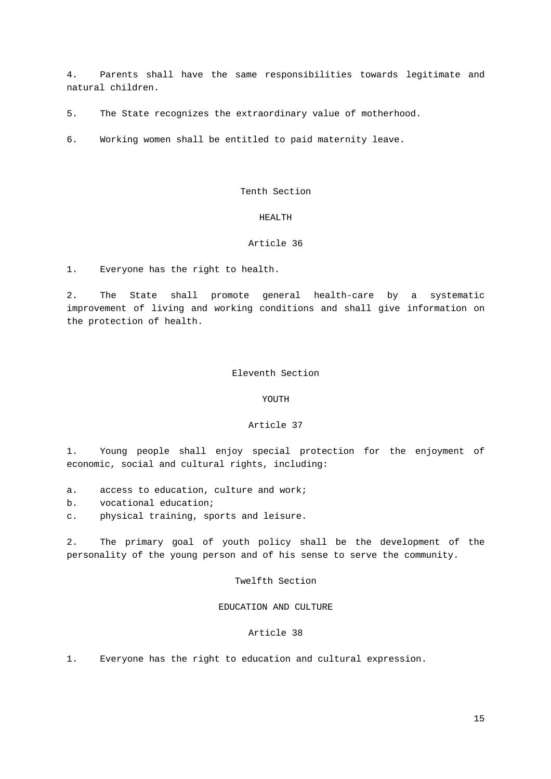4. Parents shall have the same responsibilities towards legitimate and natural children.

5. The State recognizes the extraordinary value of motherhood.

6. Working women shall be entitled to paid maternity leave.

Tenth Section

# HEALTH

### Article 36

1. Everyone has the right to health.

2. The State shall promote general health-care by a systematic improvement of living and working conditions and shall give information on the protection of health.

#### Eleventh Section

#### YOUTH

#### Article 37

1. Young people shall enjoy special protection for the enjoyment of economic, social and cultural rights, including:

- a. access to education, culture and work;
- b. vocational education;
- c. physical training, sports and leisure.

2. The primary goal of youth policy shall be the development of the personality of the young person and of his sense to serve the community.

# Twelfth Section

# EDUCATION AND CULTURE

#### Article 38

1. Everyone has the right to education and cultural expression.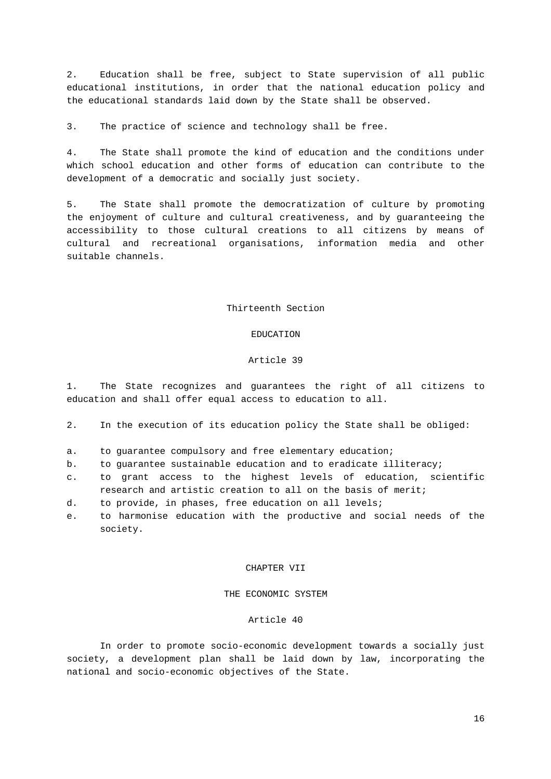2. Education shall be free, subject to State supervision of all public educational institutions, in order that the national education policy and the educational standards laid down by the State shall be observed.

3. The practice of science and technology shall be free.

4. The State shall promote the kind of education and the conditions under which school education and other forms of education can contribute to the development of a democratic and socially just society.

5. The State shall promote the democratization of culture by promoting the enjoyment of culture and cultural creativeness, and by guaranteeing the accessibility to those cultural creations to all citizens by means of cultural and recreational organisations, information media and other suitable channels.

# Thirteenth Section

#### EDUCATION

#### Article 39

1. The State recognizes and guarantees the right of all citizens to education and shall offer equal access to education to all.

2. In the execution of its education policy the State shall be obliged:

- a. to guarantee compulsory and free elementary education;
- b. to guarantee sustainable education and to eradicate illiteracy;
- c. to grant access to the highest levels of education, scientific research and artistic creation to all on the basis of merit;
- d. to provide, in phases, free education on all levels;
- e. to harmonise education with the productive and social needs of the society.

#### CHAPTER VII

# THE ECONOMIC SYSTEM

#### Article 40

In order to promote socio-economic development towards a socially just society, a development plan shall be laid down by law, incorporating the national and socio-economic objectives of the State.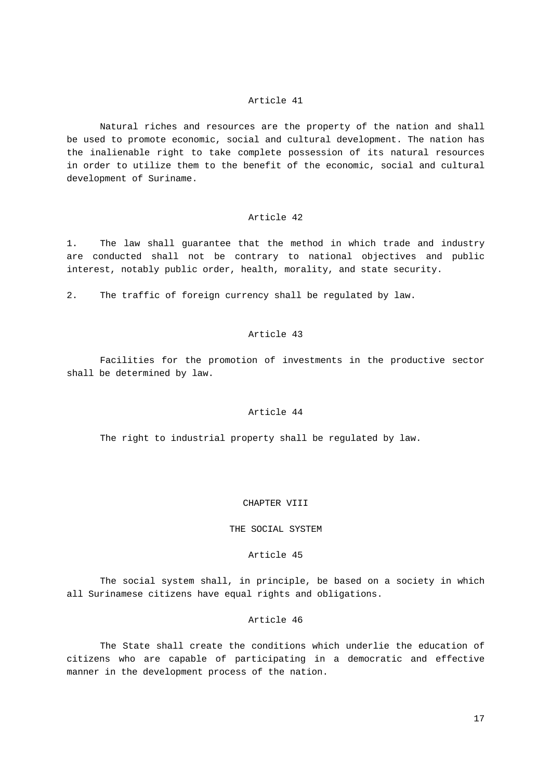Natural riches and resources are the property of the nation and shall be used to promote economic, social and cultural development. The nation has the inalienable right to take complete possession of its natural resources in order to utilize them to the benefit of the economic, social and cultural development of Suriname.

# Article 42

1. The law shall guarantee that the method in which trade and industry are conducted shall not be contrary to national objectives and public interest, notably public order, health, morality, and state security.

2. The traffic of foreign currency shall be regulated by law.

# Article 43

Facilities for the promotion of investments in the productive sector shall be determined by law.

# Article 44

The right to industrial property shall be regulated by law.

#### CHAPTER VIII

#### THE SOCIAL SYSTEM

# Article 45

The social system shall, in principle, be based on a society in which all Surinamese citizens have equal rights and obligations.

#### Article 46

The State shall create the conditions which underlie the education of citizens who are capable of participating in a democratic and effective manner in the development process of the nation.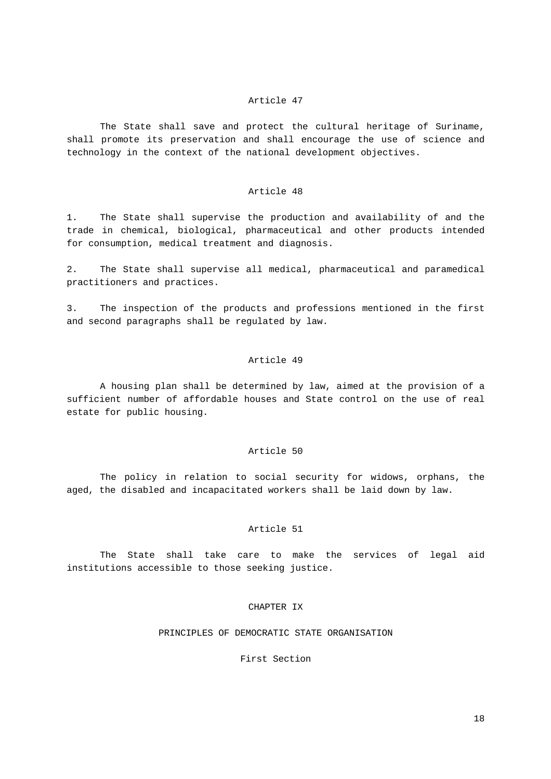The State shall save and protect the cultural heritage of Suriname, shall promote its preservation and shall encourage the use of science and technology in the context of the national development objectives.

# Article 48

1. The State shall supervise the production and availability of and the trade in chemical, biological, pharmaceutical and other products intended for consumption, medical treatment and diagnosis.

2. The State shall supervise all medical, pharmaceutical and paramedical practitioners and practices.

3. The inspection of the products and professions mentioned in the first and second paragraphs shall be regulated by law.

# Article 49

A housing plan shall be determined by law, aimed at the provision of a sufficient number of affordable houses and State control on the use of real estate for public housing.

#### Article 50

The policy in relation to social security for widows, orphans, the aged, the disabled and incapacitated workers shall be laid down by law.

#### Article 51

The State shall take care to make the services of legal aid institutions accessible to those seeking justice.

# CHAPTER IX

PRINCIPLES OF DEMOCRATIC STATE ORGANISATION

First Section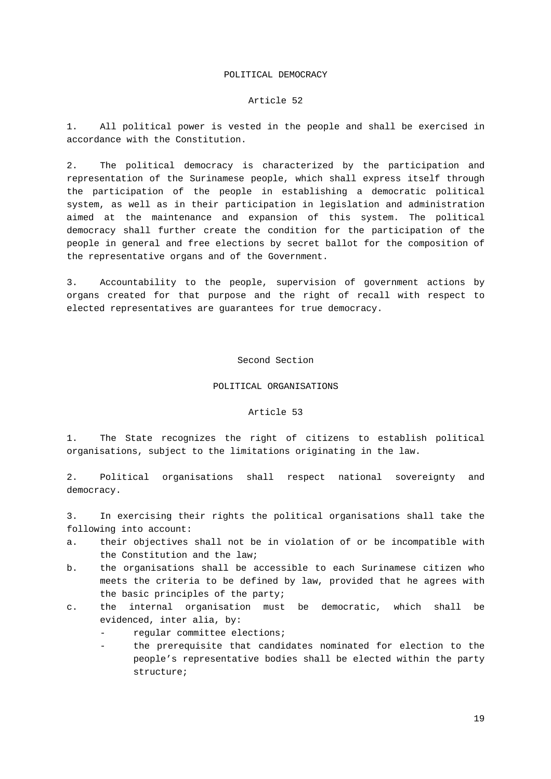#### POLITICAL DEMOCRACY

#### Article 52

1. All political power is vested in the people and shall be exercised in accordance with the Constitution.

2. The political democracy is characterized by the participation and representation of the Surinamese people, which shall express itself through the participation of the people in establishing a democratic political system, as well as in their participation in legislation and administration aimed at the maintenance and expansion of this system. The political democracy shall further create the condition for the participation of the people in general and free elections by secret ballot for the composition of the representative organs and of the Government.

3. Accountability to the people, supervision of government actions by organs created for that purpose and the right of recall with respect to elected representatives are guarantees for true democracy.

#### Second Section

#### POLITICAL ORGANISATIONS

### Article 53

1. The State recognizes the right of citizens to establish political organisations, subject to the limitations originating in the law.

2. Political organisations shall respect national sovereignty and democracy.

3. In exercising their rights the political organisations shall take the following into account:

- a. their objectives shall not be in violation of or be incompatible with the Constitution and the law;
- b. the organisations shall be accessible to each Surinamese citizen who meets the criteria to be defined by law, provided that he agrees with the basic principles of the party;
- c. the internal organisation must be democratic, which shall be evidenced, inter alia, by:
	- regular committee elections;
	- the prerequisite that candidates nominated for election to the people's representative bodies shall be elected within the party structure;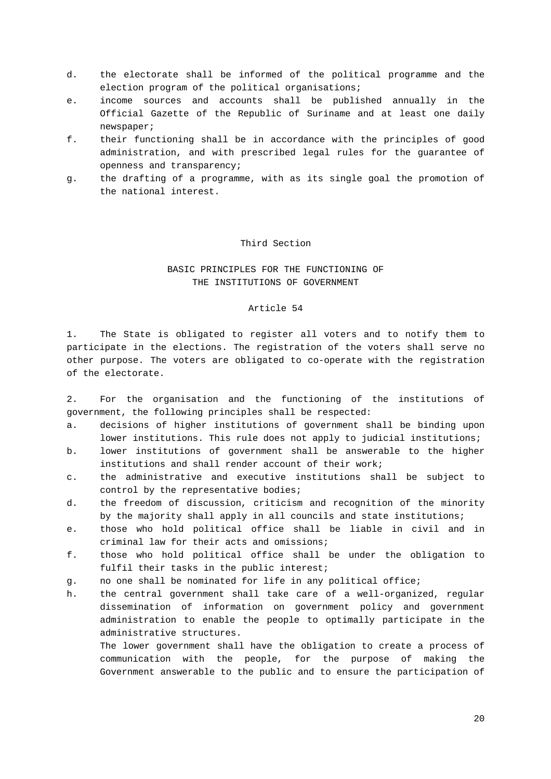- d. the electorate shall be informed of the political programme and the election program of the political organisations;
- e. income sources and accounts shall be published annually in the Official Gazette of the Republic of Suriname and at least one daily newspaper;
- f. their functioning shall be in accordance with the principles of good administration, and with prescribed legal rules for the guarantee of openness and transparency;
- g. the drafting of a programme, with as its single goal the promotion of the national interest.

# Third Section

# BASIC PRINCIPLES FOR THE FUNCTIONING OF THE INSTITUTIONS OF GOVERNMENT

#### Article 54

1. The State is obligated to register all voters and to notify them to participate in the elections. The registration of the voters shall serve no other purpose. The voters are obligated to co-operate with the registration of the electorate.

2. For the organisation and the functioning of the institutions of government, the following principles shall be respected:

- a. decisions of higher institutions of government shall be binding upon lower institutions. This rule does not apply to judicial institutions;
- b. lower institutions of government shall be answerable to the higher institutions and shall render account of their work;
- c. the administrative and executive institutions shall be subject to control by the representative bodies;
- d. the freedom of discussion, criticism and recognition of the minority by the majority shall apply in all councils and state institutions;
- e. those who hold political office shall be liable in civil and in criminal law for their acts and omissions;
- f. those who hold political office shall be under the obligation to fulfil their tasks in the public interest;
- g. no one shall be nominated for life in any political office;
- h. the central government shall take care of a well-organized, regular dissemination of information on government policy and government administration to enable the people to optimally participate in the administrative structures.

The lower government shall have the obligation to create a process of communication with the people, for the purpose of making the Government answerable to the public and to ensure the participation of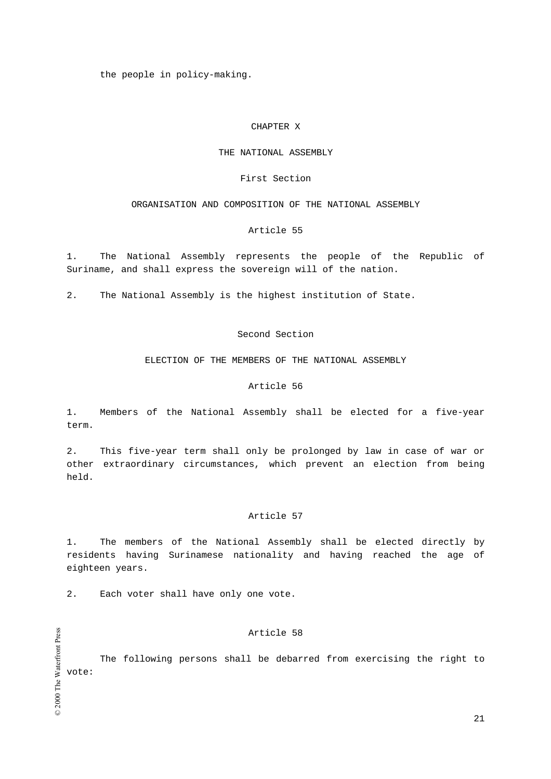the people in policy-making.

# CHAPTER X

#### THE NATIONAL ASSEMBLY

#### First Section

# ORGANISATION AND COMPOSITION OF THE NATIONAL ASSEMBLY

# Article 55

1. The National Assembly represents the people of the Republic of Suriname, and shall express the sovereign will of the nation.

2. The National Assembly is the highest institution of State.

# Second Section

ELECTION OF THE MEMBERS OF THE NATIONAL ASSEMBLY

# Article 56

1. Members of the National Assembly shall be elected for a five-year term.

2. This five-year term shall only be prolonged by law in case of war or other extraordinary circumstances, which prevent an election from being held.

# Article 57

1. The members of the National Assembly shall be elected directly by residents having Surinamese nationality and having reached the age of eighteen years.

2. Each voter shall have only one vote.

#### Article 58

The following persons shall be debarred from exercising the right to vote:

© 2000 The Waterfront Press © 2000 The Waterfront Press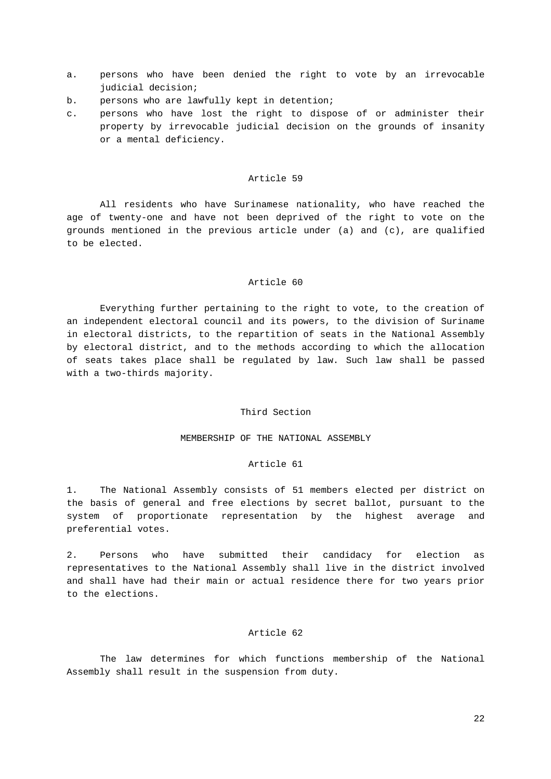- a. persons who have been denied the right to vote by an irrevocable judicial decision;
- b. persons who are lawfully kept in detention;
- c. persons who have lost the right to dispose of or administer their property by irrevocable judicial decision on the grounds of insanity or a mental deficiency.

All residents who have Surinamese nationality, who have reached the age of twenty-one and have not been deprived of the right to vote on the grounds mentioned in the previous article under (a) and (c), are qualified to be elected.

#### Article 60

Everything further pertaining to the right to vote, to the creation of an independent electoral council and its powers, to the division of Suriname in electoral districts, to the repartition of seats in the National Assembly by electoral district, and to the methods according to which the allocation of seats takes place shall be regulated by law. Such law shall be passed with a two-thirds majority.

### Third Section

#### MEMBERSHIP OF THE NATIONAL ASSEMBLY

# Article 61

1. The National Assembly consists of 51 members elected per district on the basis of general and free elections by secret ballot, pursuant to the system of proportionate representation by the highest average and preferential votes.

2. Persons who have submitted their candidacy for election as representatives to the National Assembly shall live in the district involved and shall have had their main or actual residence there for two years prior to the elections.

# Article 62

The law determines for which functions membership of the National Assembly shall result in the suspension from duty.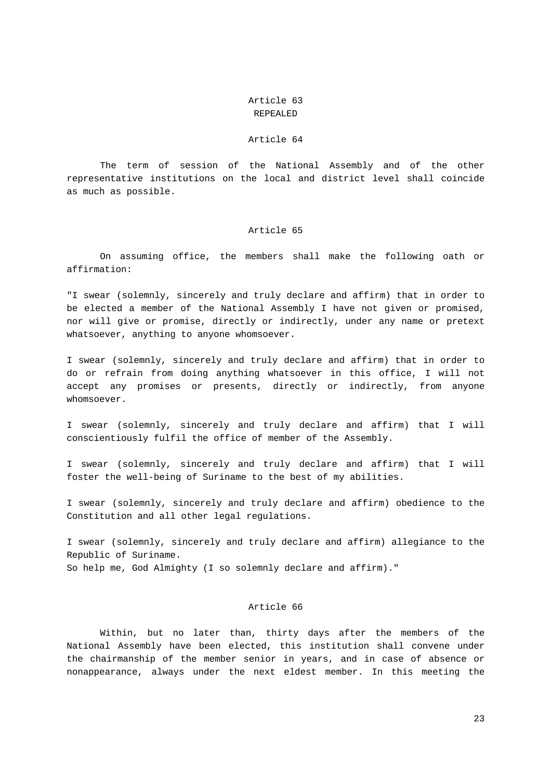# Article 63 REPEALED

# Article 64

The term of session of the National Assembly and of the other representative institutions on the local and district level shall coincide as much as possible.

# Article 65

On assuming office, the members shall make the following oath or affirmation:

"I swear (solemnly, sincerely and truly declare and affirm) that in order to be elected a member of the National Assembly I have not given or promised, nor will give or promise, directly or indirectly, under any name or pretext whatsoever, anything to anyone whomsoever.

I swear (solemnly, sincerely and truly declare and affirm) that in order to do or refrain from doing anything whatsoever in this office, I will not accept any promises or presents, directly or indirectly, from anyone whomsoever.

I swear (solemnly, sincerely and truly declare and affirm) that I will conscientiously fulfil the office of member of the Assembly.

I swear (solemnly, sincerely and truly declare and affirm) that I will foster the well-being of Suriname to the best of my abilities.

I swear (solemnly, sincerely and truly declare and affirm) obedience to the Constitution and all other legal regulations.

I swear (solemnly, sincerely and truly declare and affirm) allegiance to the Republic of Suriname. So help me, God Almighty (I so solemnly declare and affirm)."

# Article 66

Within, but no later than, thirty days after the members of the National Assembly have been elected, this institution shall convene under the chairmanship of the member senior in years, and in case of absence or nonappearance, always under the next eldest member. In this meeting the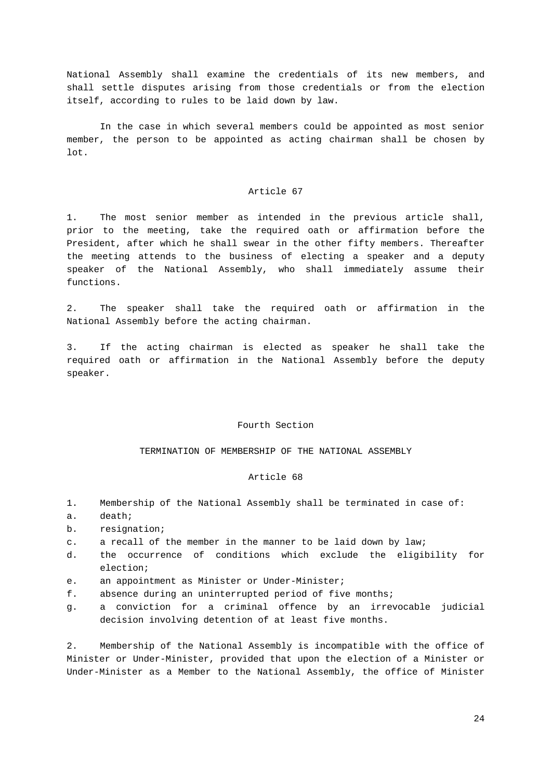National Assembly shall examine the credentials of its new members, and shall settle disputes arising from those credentials or from the election itself, according to rules to be laid down by law.

In the case in which several members could be appointed as most senior member, the person to be appointed as acting chairman shall be chosen by lot.

# Article 67

1. The most senior member as intended in the previous article shall, prior to the meeting, take the required oath or affirmation before the President, after which he shall swear in the other fifty members. Thereafter the meeting attends to the business of electing a speaker and a deputy speaker of the National Assembly, who shall immediately assume their functions.

2. The speaker shall take the required oath or affirmation in the National Assembly before the acting chairman.

3. If the acting chairman is elected as speaker he shall take the required oath or affirmation in the National Assembly before the deputy speaker.

#### Fourth Section

TERMINATION OF MEMBERSHIP OF THE NATIONAL ASSEMBLY

#### Article 68

- 1. Membership of the National Assembly shall be terminated in case of:
- a. death;
- b. resignation;
- c. a recall of the member in the manner to be laid down by law;
- d. the occurrence of conditions which exclude the eligibility for election;
- e. an appointment as Minister or Under-Minister;
- f. absence during an uninterrupted period of five months;
- g. a conviction for a criminal offence by an irrevocable judicial decision involving detention of at least five months.

2. Membership of the National Assembly is incompatible with the office of Minister or Under-Minister, provided that upon the election of a Minister or Under-Minister as a Member to the National Assembly, the office of Minister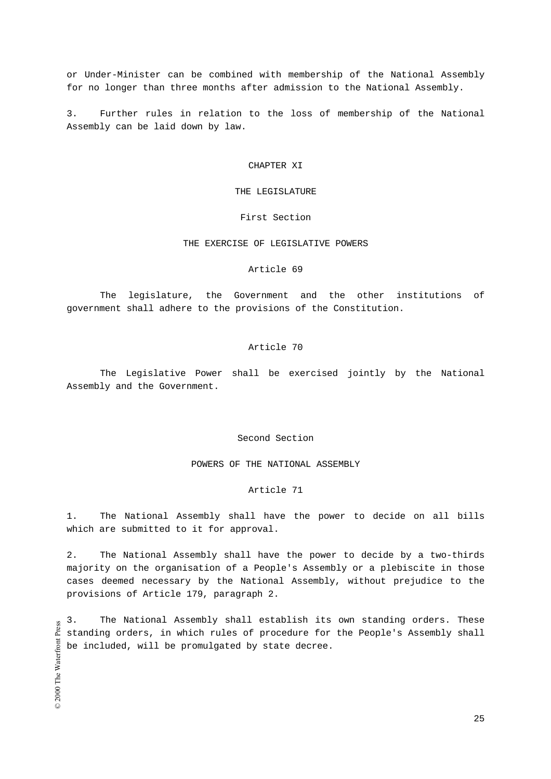or Under-Minister can be combined with membership of the National Assembly for no longer than three months after admission to the National Assembly.

3. Further rules in relation to the loss of membership of the National Assembly can be laid down by law.

#### CHAPTER XI

#### THE LEGISLATURE

# First Section

### THE EXERCISE OF LEGISLATIVE POWERS

# Article 69

The legislature, the Government and the other institutions of government shall adhere to the provisions of the Constitution.

#### Article 70

The Legislative Power shall be exercised jointly by the National Assembly and the Government.

#### Second Section

POWERS OF THE NATIONAL ASSEMBLY

#### Article 71

1. The National Assembly shall have the power to decide on all bills which are submitted to it for approval.

2. The National Assembly shall have the power to decide by a two-thirds majority on the organisation of a People's Assembly or a plebiscite in those cases deemed necessary by the National Assembly, without prejudice to the provisions of Article 179, paragraph 2.

3. The National Assembly shall establish its own standing orders. These standing orders, in which rules of procedure for the People's Assembly shall be included, will be promulgated by state decree.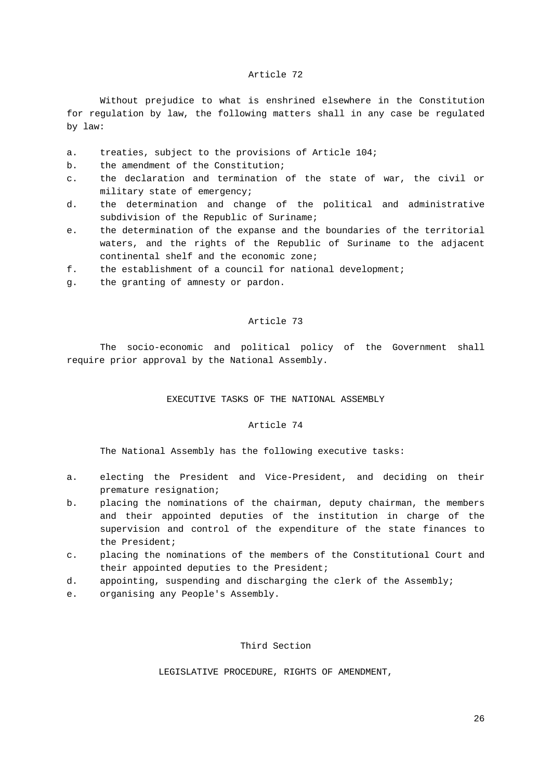Without prejudice to what is enshrined elsewhere in the Constitution for regulation by law, the following matters shall in any case be regulated by law:

- a. treaties, subject to the provisions of Article 104;
- b. the amendment of the Constitution;
- c. the declaration and termination of the state of war, the civil or military state of emergency;
- d. the determination and change of the political and administrative subdivision of the Republic of Suriname;
- e. the determination of the expanse and the boundaries of the territorial waters, and the rights of the Republic of Suriname to the adjacent continental shelf and the economic zone;
- f. the establishment of a council for national development;
- g. the granting of amnesty or pardon.

# Article 73

The socio-economic and political policy of the Government shall require prior approval by the National Assembly.

# EXECUTIVE TASKS OF THE NATIONAL ASSEMBLY

# Article 74

The National Assembly has the following executive tasks:

- a. electing the President and Vice-President, and deciding on their premature resignation;
- b. placing the nominations of the chairman, deputy chairman, the members and their appointed deputies of the institution in charge of the supervision and control of the expenditure of the state finances to the President;
- c. placing the nominations of the members of the Constitutional Court and their appointed deputies to the President;
- d. appointing, suspending and discharging the clerk of the Assembly;
- e. organising any People's Assembly.

# Third Section

LEGISLATIVE PROCEDURE, RIGHTS OF AMENDMENT,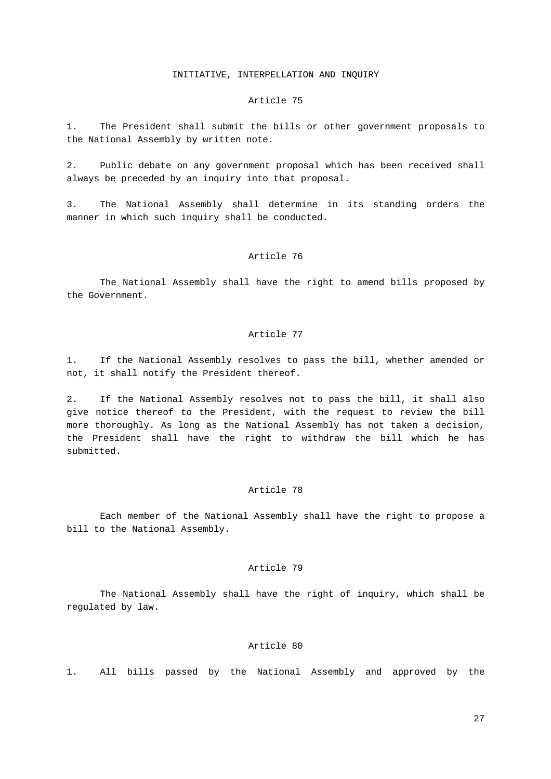# INITIATIVE, INTERPELLATION AND INQUIRY

#### Article 75

1. The President shall submit the bills or other government proposals to the National Assembly by written note.

2. Public debate on any government proposal which has been received shall always be preceded by an inquiry into that proposal.

3. The National Assembly shall determine in its standing orders the manner in which such inquiry shall be conducted.

#### Article 76

The National Assembly shall have the right to amend bills proposed by the Government.

# Article 77

1. If the National Assembly resolves to pass the bill, whether amended or not, it shall notify the President thereof.

2. If the National Assembly resolves not to pass the bill, it shall also give notice thereof to the President, with the request to review the bill more thoroughly. As long as the National Assembly has not taken a decision, the President shall have the right to withdraw the bill which he has submitted.

#### Article 78

Each member of the National Assembly shall have the right to propose a bill to the National Assembly.

# Article 79

The National Assembly shall have the right of inquiry, which shall be regulated by law.

# Article 80

1. All bills passed by the National Assembly and approved by the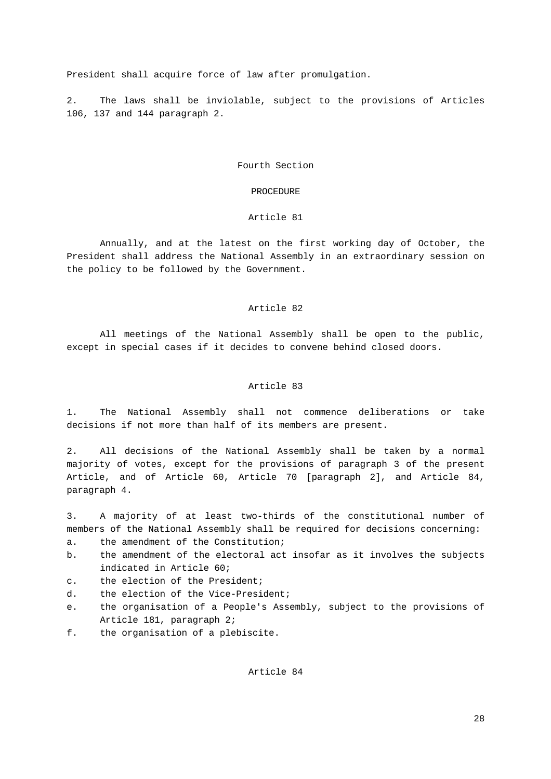President shall acquire force of law after promulgation.

2. The laws shall be inviolable, subject to the provisions of Articles 106, 137 and 144 paragraph 2.

Fourth Section

#### PROCEDURE

# Article 81

Annually, and at the latest on the first working day of October, the President shall address the National Assembly in an extraordinary session on the policy to be followed by the Government.

#### Article 82

All meetings of the National Assembly shall be open to the public, except in special cases if it decides to convene behind closed doors.

#### Article 83

1. The National Assembly shall not commence deliberations or take decisions if not more than half of its members are present.

2. All decisions of the National Assembly shall be taken by a normal majority of votes, except for the provisions of paragraph 3 of the present Article, and of Article 60, Article 70 [paragraph 2], and Article 84, paragraph 4.

3. A majority of at least two-thirds of the constitutional number of members of the National Assembly shall be required for decisions concerning:

a. the amendment of the Constitution;

- b. the amendment of the electoral act insofar as it involves the subjects indicated in Article 60;
- c. the election of the President;
- d. the election of the Vice-President;
- e. the organisation of a People's Assembly, subject to the provisions of Article 181, paragraph 2;
- f. the organisation of a plebiscite.

Article 84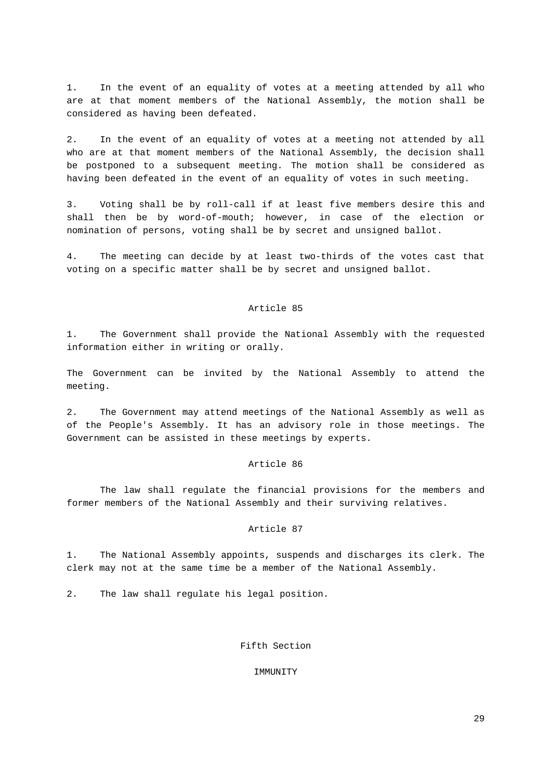1. In the event of an equality of votes at a meeting attended by all who are at that moment members of the National Assembly, the motion shall be considered as having been defeated.

2. In the event of an equality of votes at a meeting not attended by all who are at that moment members of the National Assembly, the decision shall be postponed to a subsequent meeting. The motion shall be considered as having been defeated in the event of an equality of votes in such meeting.

3. Voting shall be by roll-call if at least five members desire this and shall then be by word-of-mouth; however, in case of the election or nomination of persons, voting shall be by secret and unsigned ballot.

4. The meeting can decide by at least two-thirds of the votes cast that voting on a specific matter shall be by secret and unsigned ballot.

# Article 85

1. The Government shall provide the National Assembly with the requested information either in writing or orally.

The Government can be invited by the National Assembly to attend the meeting.

2. The Government may attend meetings of the National Assembly as well as of the People's Assembly. It has an advisory role in those meetings. The Government can be assisted in these meetings by experts.

#### Article 86

The law shall regulate the financial provisions for the members and former members of the National Assembly and their surviving relatives.

#### Article 87

1. The National Assembly appoints, suspends and discharges its clerk. The clerk may not at the same time be a member of the National Assembly.

2. The law shall regulate his legal position.

# Fifth Section

### IMMUNITY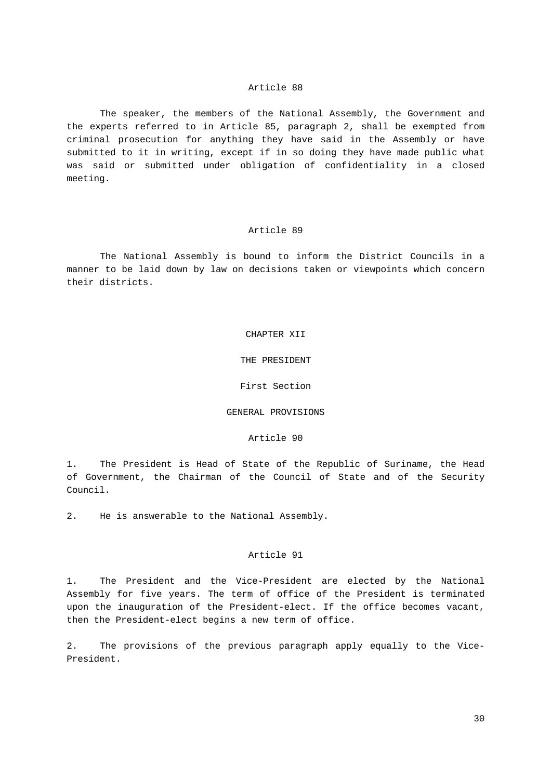The speaker, the members of the National Assembly, the Government and the experts referred to in Article 85, paragraph 2, shall be exempted from criminal prosecution for anything they have said in the Assembly or have submitted to it in writing, except if in so doing they have made public what was said or submitted under obligation of confidentiality in a closed meeting.

# Article 89

The National Assembly is bound to inform the District Councils in a manner to be laid down by law on decisions taken or viewpoints which concern their districts.

#### CHAPTER XII

THE PRESIDENT

First Section

#### GENERAL PROVISIONS

Article 90

1. The President is Head of State of the Republic of Suriname, the Head of Government, the Chairman of the Council of State and of the Security Council.

2. He is answerable to the National Assembly.

# Article 91

1. The President and the Vice-President are elected by the National Assembly for five years. The term of office of the President is terminated upon the inauguration of the President-elect. If the office becomes vacant, then the President-elect begins a new term of office.

2. The provisions of the previous paragraph apply equally to the Vice-President.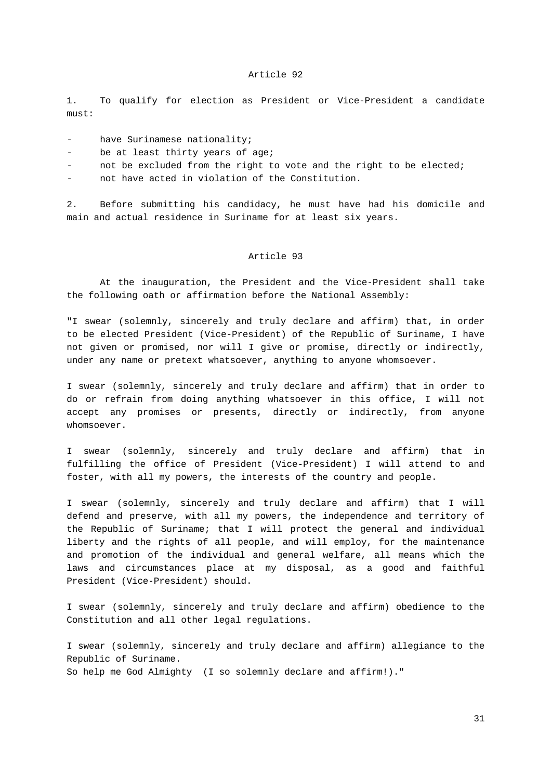1. To qualify for election as President or Vice-President a candidate must:

- have Surinamese nationality;
- be at least thirty years of age;
- not be excluded from the right to vote and the right to be elected;

- not have acted in violation of the Constitution.

2. Before submitting his candidacy, he must have had his domicile and main and actual residence in Suriname for at least six years.

#### Article 93

At the inauguration, the President and the Vice-President shall take the following oath or affirmation before the National Assembly:

"I swear (solemnly, sincerely and truly declare and affirm) that, in order to be elected President (Vice-President) of the Republic of Suriname, I have not given or promised, nor will I give or promise, directly or indirectly, under any name or pretext whatsoever, anything to anyone whomsoever.

I swear (solemnly, sincerely and truly declare and affirm) that in order to do or refrain from doing anything whatsoever in this office, I will not accept any promises or presents, directly or indirectly, from anyone whomsoever.

I swear (solemnly, sincerely and truly declare and affirm) that in fulfilling the office of President (Vice-President) I will attend to and foster, with all my powers, the interests of the country and people.

I swear (solemnly, sincerely and truly declare and affirm) that I will defend and preserve, with all my powers, the independence and territory of the Republic of Suriname; that I will protect the general and individual liberty and the rights of all people, and will employ, for the maintenance and promotion of the individual and general welfare, all means which the laws and circumstances place at my disposal, as a good and faithful President (Vice-President) should.

I swear (solemnly, sincerely and truly declare and affirm) obedience to the Constitution and all other legal regulations.

I swear (solemnly, sincerely and truly declare and affirm) allegiance to the Republic of Suriname. So help me God Almighty (I so solemnly declare and affirm!)."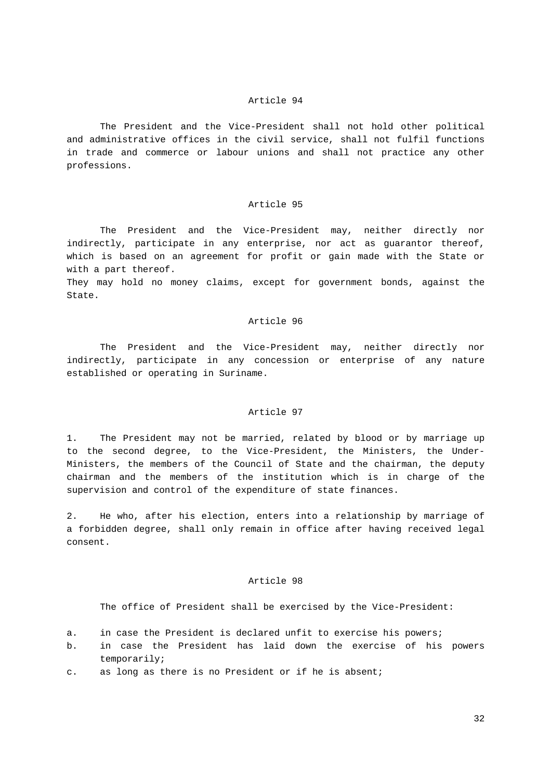The President and the Vice-President shall not hold other political and administrative offices in the civil service, shall not fulfil functions in trade and commerce or labour unions and shall not practice any other professions.

#### Article 95

The President and the Vice-President may, neither directly nor indirectly, participate in any enterprise, nor act as guarantor thereof, which is based on an agreement for profit or gain made with the State or with a part thereof.

They may hold no money claims, except for government bonds, against the State.

#### Article 96

The President and the Vice-President may, neither directly nor indirectly, participate in any concession or enterprise of any nature established or operating in Suriname.

# Article 97

1. The President may not be married, related by blood or by marriage up to the second degree, to the Vice-President, the Ministers, the Under-Ministers, the members of the Council of State and the chairman, the deputy chairman and the members of the institution which is in charge of the supervision and control of the expenditure of state finances.

2. He who, after his election, enters into a relationship by marriage of a forbidden degree, shall only remain in office after having received legal consent.

#### Article 98

The office of President shall be exercised by the Vice-President:

- a. in case the President is declared unfit to exercise his powers;
- b. in case the President has laid down the exercise of his powers temporarily;
- c. as long as there is no President or if he is absent;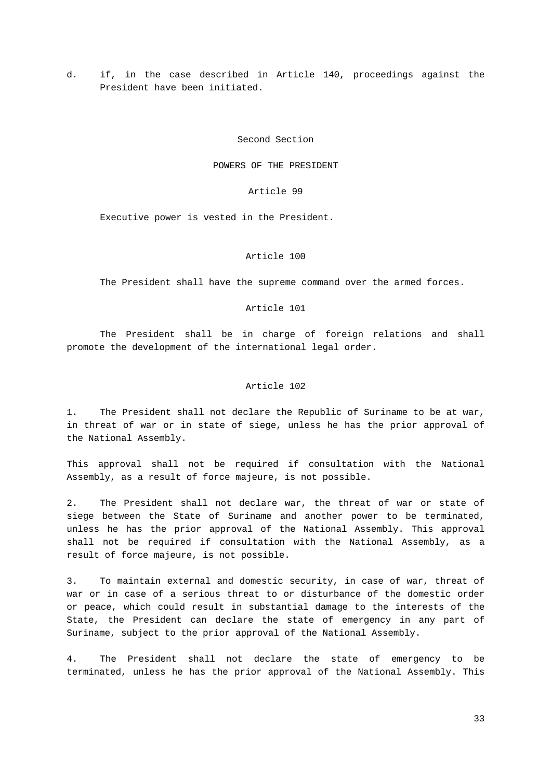d. if, in the case described in Article 140, proceedings against the President have been initiated.

#### Second Section

POWERS OF THE PRESIDENT

Article 99

Executive power is vested in the President.

#### Article 100

The President shall have the supreme command over the armed forces.

# Article 101

The President shall be in charge of foreign relations and shall promote the development of the international legal order.

#### Article 102

1. The President shall not declare the Republic of Suriname to be at war, in threat of war or in state of siege, unless he has the prior approval of the National Assembly.

This approval shall not be required if consultation with the National Assembly, as a result of force majeure, is not possible.

2. The President shall not declare war, the threat of war or state of siege between the State of Suriname and another power to be terminated, unless he has the prior approval of the National Assembly. This approval shall not be required if consultation with the National Assembly, as a result of force majeure, is not possible.

3. To maintain external and domestic security, in case of war, threat of war or in case of a serious threat to or disturbance of the domestic order or peace, which could result in substantial damage to the interests of the State, the President can declare the state of emergency in any part of Suriname, subject to the prior approval of the National Assembly.

4. The President shall not declare the state of emergency to be terminated, unless he has the prior approval of the National Assembly. This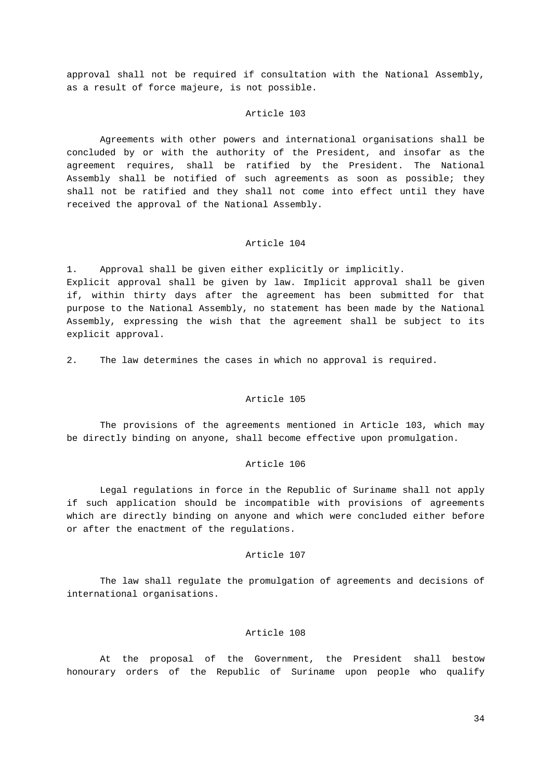approval shall not be required if consultation with the National Assembly, as a result of force majeure, is not possible.

#### Article 103

Agreements with other powers and international organisations shall be concluded by or with the authority of the President, and insofar as the agreement requires, shall be ratified by the President. The National Assembly shall be notified of such agreements as soon as possible; they shall not be ratified and they shall not come into effect until they have received the approval of the National Assembly.

#### Article 104

1. Approval shall be given either explicitly or implicitly. Explicit approval shall be given by law. Implicit approval shall be given if, within thirty days after the agreement has been submitted for that purpose to the National Assembly, no statement has been made by the National Assembly, expressing the wish that the agreement shall be subject to its explicit approval.

2. The law determines the cases in which no approval is required.

# Article 105

The provisions of the agreements mentioned in Article 103, which may be directly binding on anyone, shall become effective upon promulgation.

# Article 106

Legal regulations in force in the Republic of Suriname shall not apply if such application should be incompatible with provisions of agreements which are directly binding on anyone and which were concluded either before or after the enactment of the regulations.

# Article 107

The law shall regulate the promulgation of agreements and decisions of international organisations.

# Article 108

At the proposal of the Government, the President shall bestow honourary orders of the Republic of Suriname upon people who qualify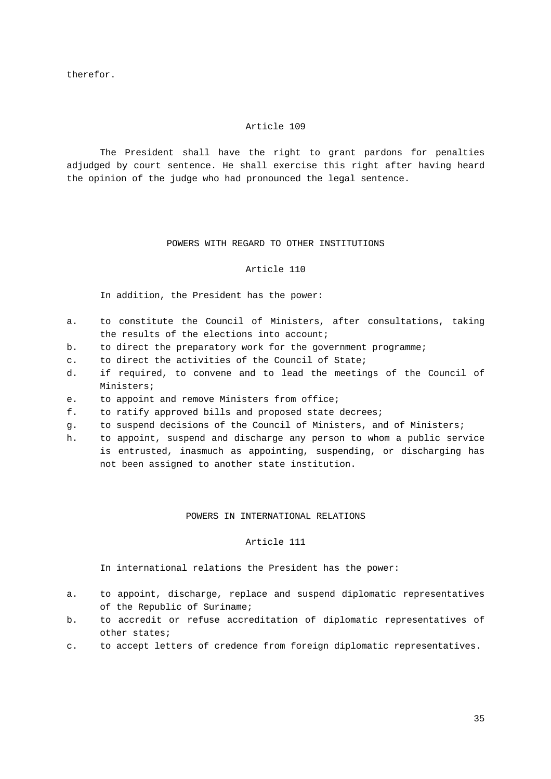therefor.

# Article 109

The President shall have the right to grant pardons for penalties adjudged by court sentence. He shall exercise this right after having heard the opinion of the judge who had pronounced the legal sentence.

# POWERS WITH REGARD TO OTHER INSTITUTIONS

# Article 110

#### In addition, the President has the power:

- a. to constitute the Council of Ministers, after consultations, taking the results of the elections into account;
- b. to direct the preparatory work for the government programme;
- c. to direct the activities of the Council of State;
- d. if required, to convene and to lead the meetings of the Council of Ministers;
- e. to appoint and remove Ministers from office;
- f. to ratify approved bills and proposed state decrees;
- g. to suspend decisions of the Council of Ministers, and of Ministers;
- h. to appoint, suspend and discharge any person to whom a public service is entrusted, inasmuch as appointing, suspending, or discharging has not been assigned to another state institution.

#### POWERS IN INTERNATIONAL RELATIONS

# Article 111

In international relations the President has the power:

- a. to appoint, discharge, replace and suspend diplomatic representatives of the Republic of Suriname;
- b. to accredit or refuse accreditation of diplomatic representatives of other states;
- c. to accept letters of credence from foreign diplomatic representatives.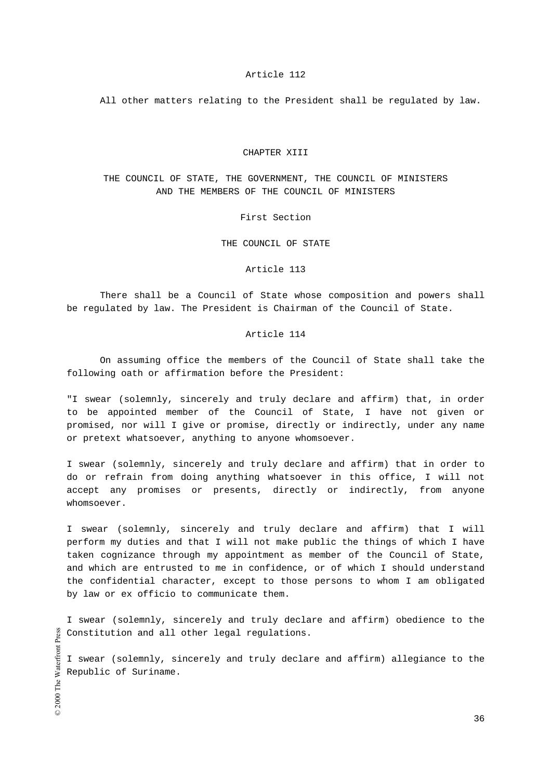All other matters relating to the President shall be regulated by law.

#### CHAPTER XIII

# THE COUNCIL OF STATE, THE GOVERNMENT, THE COUNCIL OF MINISTERS AND THE MEMBERS OF THE COUNCIL OF MINISTERS

First Section

THE COUNCIL OF STATE

# Article 113

There shall be a Council of State whose composition and powers shall be regulated by law. The President is Chairman of the Council of State.

#### Article 114

On assuming office the members of the Council of State shall take the following oath or affirmation before the President:

"I swear (solemnly, sincerely and truly declare and affirm) that, in order to be appointed member of the Council of State, I have not given or promised, nor will I give or promise, directly or indirectly, under any name or pretext whatsoever, anything to anyone whomsoever.

I swear (solemnly, sincerely and truly declare and affirm) that in order to do or refrain from doing anything whatsoever in this office, I will not accept any promises or presents, directly or indirectly, from anyone whomsoever.

I swear (solemnly, sincerely and truly declare and affirm) that I will perform my duties and that I will not make public the things of which I have taken cognizance through my appointment as member of the Council of State, and which are entrusted to me in confidence, or of which I should understand the confidential character, except to those persons to whom I am obligated by law or ex officio to communicate them.

I swear (solemnly, sincerely and truly declare and affirm) obedience to the Constitution and all other legal regulations.

I swear (solemnly, sincerely and truly declare and affirm) allegiance to the Republic of Suriname.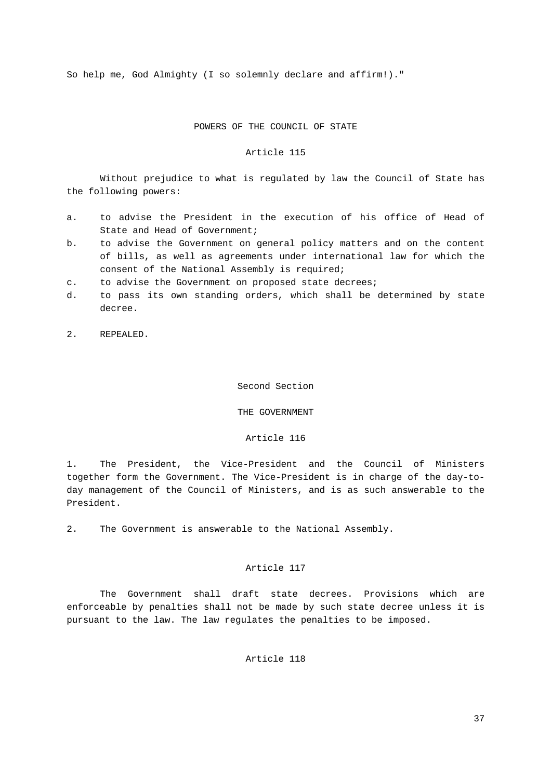So help me, God Almighty (I so solemnly declare and affirm!)."

# POWERS OF THE COUNCIL OF STATE

#### Article 115

Without prejudice to what is regulated by law the Council of State has the following powers:

- a. to advise the President in the execution of his office of Head of State and Head of Government;
- b. to advise the Government on general policy matters and on the content of bills, as well as agreements under international law for which the consent of the National Assembly is required;
- c. to advise the Government on proposed state decrees;
- d. to pass its own standing orders, which shall be determined by state decree.
- 2. REPEALED.

#### Second Section

### THE GOVERNMENT

#### Article 116

1. The President, the Vice-President and the Council of Ministers together form the Government. The Vice-President is in charge of the day-today management of the Council of Ministers, and is as such answerable to the President.

2. The Government is answerable to the National Assembly.

# Article 117

The Government shall draft state decrees. Provisions which are enforceable by penalties shall not be made by such state decree unless it is pursuant to the law. The law regulates the penalties to be imposed.

# Article 118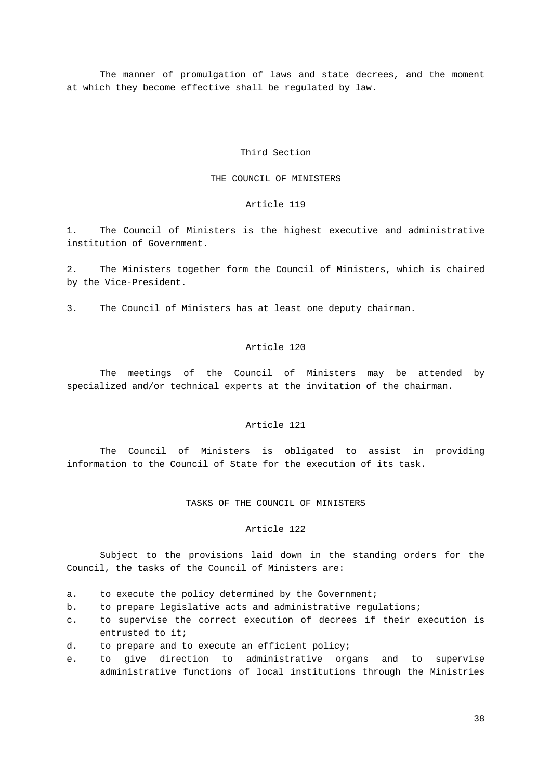The manner of promulgation of laws and state decrees, and the moment at which they become effective shall be regulated by law.

#### Third Section

#### THE COUNCIL OF MINISTERS

#### Article 119

1. The Council of Ministers is the highest executive and administrative institution of Government.

2. The Ministers together form the Council of Ministers, which is chaired by the Vice-President.

3. The Council of Ministers has at least one deputy chairman.

# Article 120

The meetings of the Council of Ministers may be attended by specialized and/or technical experts at the invitation of the chairman.

#### Article 121

The Council of Ministers is obligated to assist in providing information to the Council of State for the execution of its task.

TASKS OF THE COUNCIL OF MINISTERS

#### Article 122

Subject to the provisions laid down in the standing orders for the Council, the tasks of the Council of Ministers are:

- a. to execute the policy determined by the Government;
- b. to prepare legislative acts and administrative regulations;
- c. to supervise the correct execution of decrees if their execution is entrusted to it;
- d. to prepare and to execute an efficient policy;
- e. to give direction to administrative organs and to supervise administrative functions of local institutions through the Ministries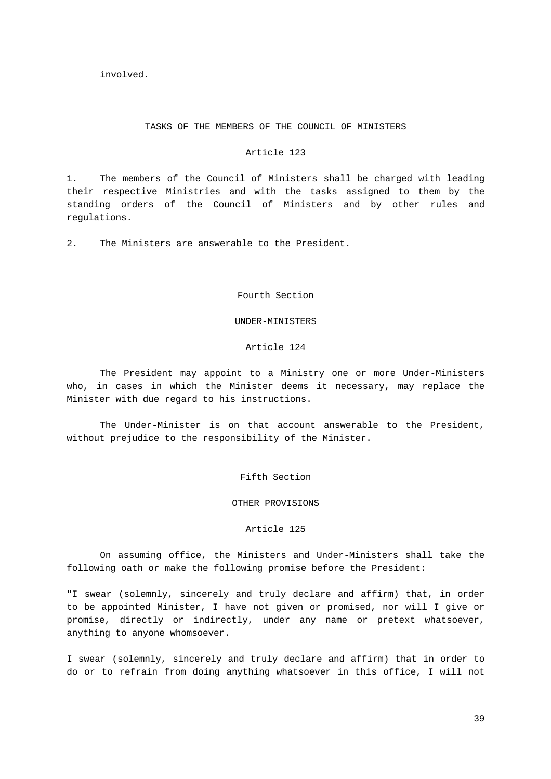# involved.

#### TASKS OF THE MEMBERS OF THE COUNCIL OF MINISTERS

#### Article 123

1. The members of the Council of Ministers shall be charged with leading their respective Ministries and with the tasks assigned to them by the standing orders of the Council of Ministers and by other rules and regulations.

2. The Ministers are answerable to the President.

Fourth Section

#### UNDER-MINISTERS

# Article 124

The President may appoint to a Ministry one or more Under-Ministers who, in cases in which the Minister deems it necessary, may replace the Minister with due regard to his instructions.

The Under-Minister is on that account answerable to the President, without prejudice to the responsibility of the Minister.

Fifth Section

OTHER PROVISIONS

#### Article 125

On assuming office, the Ministers and Under-Ministers shall take the following oath or make the following promise before the President:

"I swear (solemnly, sincerely and truly declare and affirm) that, in order to be appointed Minister, I have not given or promised, nor will I give or promise, directly or indirectly, under any name or pretext whatsoever, anything to anyone whomsoever.

I swear (solemnly, sincerely and truly declare and affirm) that in order to do or to refrain from doing anything whatsoever in this office, I will not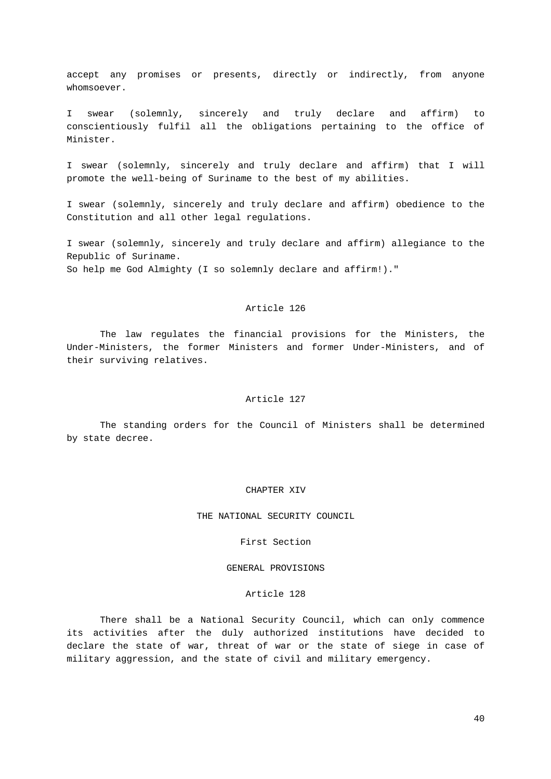accept any promises or presents, directly or indirectly, from anyone whomsoever.

I swear (solemnly, sincerely and truly declare and affirm) to conscientiously fulfil all the obligations pertaining to the office of Minister.

I swear (solemnly, sincerely and truly declare and affirm) that I will promote the well-being of Suriname to the best of my abilities.

I swear (solemnly, sincerely and truly declare and affirm) obedience to the Constitution and all other legal regulations.

I swear (solemnly, sincerely and truly declare and affirm) allegiance to the Republic of Suriname. So help me God Almighty (I so solemnly declare and affirm!)."

#### Article 126

The law regulates the financial provisions for the Ministers, the Under-Ministers, the former Ministers and former Under-Ministers, and of their surviving relatives.

# Article 127

The standing orders for the Council of Ministers shall be determined by state decree.

#### CHAPTER XIV

THE NATIONAL SECURITY COUNCIL

First Section

#### GENERAL PROVISIONS

#### Article 128

There shall be a National Security Council, which can only commence its activities after the duly authorized institutions have decided to declare the state of war, threat of war or the state of siege in case of military aggression, and the state of civil and military emergency.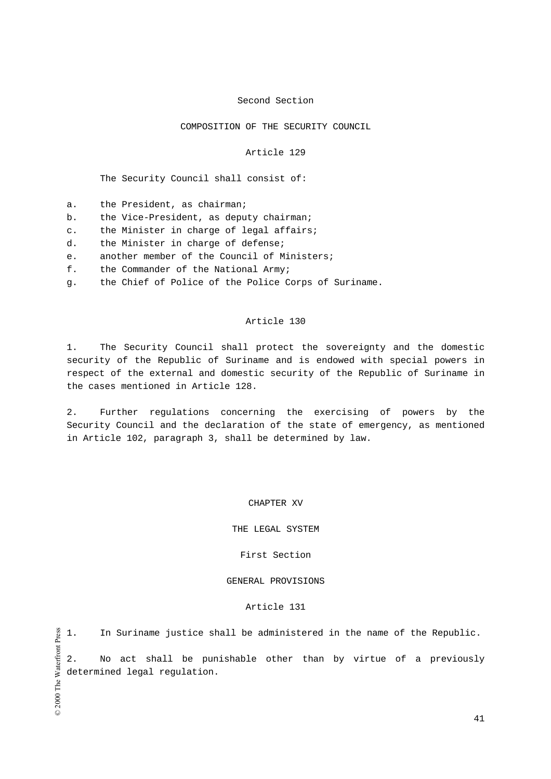# Second Section

# COMPOSITION OF THE SECURITY COUNCIL

#### Article 129

The Security Council shall consist of:

- a. the President, as chairman;
- b. the Vice-President, as deputy chairman;
- c. the Minister in charge of legal affairs;
- d. the Minister in charge of defense;
- e. another member of the Council of Ministers;
- f. the Commander of the National Army;
- g. the Chief of Police of the Police Corps of Suriname.

#### Article 130

1. The Security Council shall protect the sovereignty and the domestic security of the Republic of Suriname and is endowed with special powers in respect of the external and domestic security of the Republic of Suriname in the cases mentioned in Article 128.

2. Further regulations concerning the exercising of powers by the Security Council and the declaration of the state of emergency, as mentioned in Article 102, paragraph 3, shall be determined by law.

CHAPTER XV

#### THE LEGAL SYSTEM

# First Section

# GENERAL PROVISIONS

# Article 131

1. In Suriname justice shall be administered in the name of the Republic.

2. No act shall be punishable other than by virtue of a previously determined legal regulation.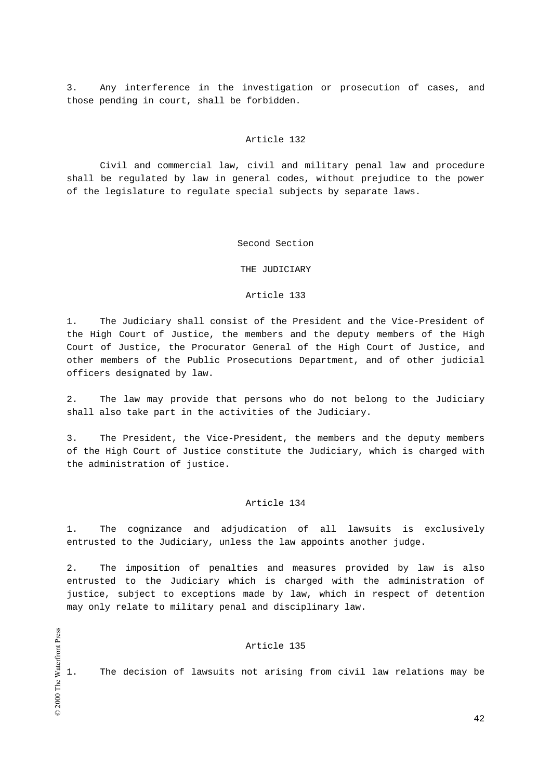3. Any interference in the investigation or prosecution of cases, and those pending in court, shall be forbidden.

# Article 132

Civil and commercial law, civil and military penal law and procedure shall be regulated by law in general codes, without prejudice to the power of the legislature to regulate special subjects by separate laws.

#### Second Section

# THE JUDICIARY

#### Article 133

1. The Judiciary shall consist of the President and the Vice-President of the High Court of Justice, the members and the deputy members of the High Court of Justice, the Procurator General of the High Court of Justice, and other members of the Public Prosecutions Department, and of other judicial officers designated by law.

2. The law may provide that persons who do not belong to the Judiciary shall also take part in the activities of the Judiciary.

3. The President, the Vice-President, the members and the deputy members of the High Court of Justice constitute the Judiciary, which is charged with the administration of justice.

#### Article 134

1. The cognizance and adjudication of all lawsuits is exclusively entrusted to the Judiciary, unless the law appoints another judge.

2. The imposition of penalties and measures provided by law is also entrusted to the Judiciary which is charged with the administration of justice, subject to exceptions made by law, which in respect of detention may only relate to military penal and disciplinary law.

# Article 135

1. The decision of lawsuits not arising from civil law relations may be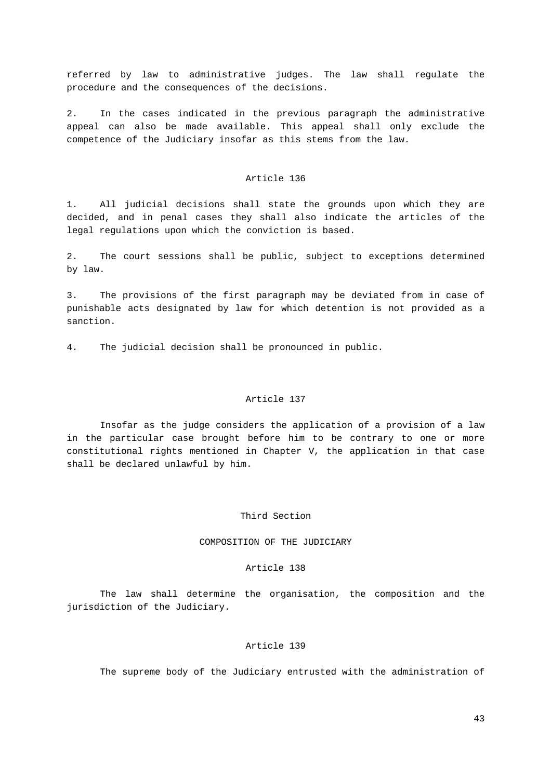referred by law to administrative judges. The law shall regulate the procedure and the consequences of the decisions.

2. In the cases indicated in the previous paragraph the administrative appeal can also be made available. This appeal shall only exclude the competence of the Judiciary insofar as this stems from the law.

#### Article 136

1. All judicial decisions shall state the grounds upon which they are decided, and in penal cases they shall also indicate the articles of the legal regulations upon which the conviction is based.

2. The court sessions shall be public, subject to exceptions determined by law.

3. The provisions of the first paragraph may be deviated from in case of punishable acts designated by law for which detention is not provided as a sanction.

4. The judicial decision shall be pronounced in public.

# Article 137

Insofar as the judge considers the application of a provision of a law in the particular case brought before him to be contrary to one or more constitutional rights mentioned in Chapter V, the application in that case shall be declared unlawful by him.

# Third Section

# COMPOSITION OF THE JUDICIARY

#### Article 138

The law shall determine the organisation, the composition and the jurisdiction of the Judiciary.

#### Article 139

The supreme body of the Judiciary entrusted with the administration of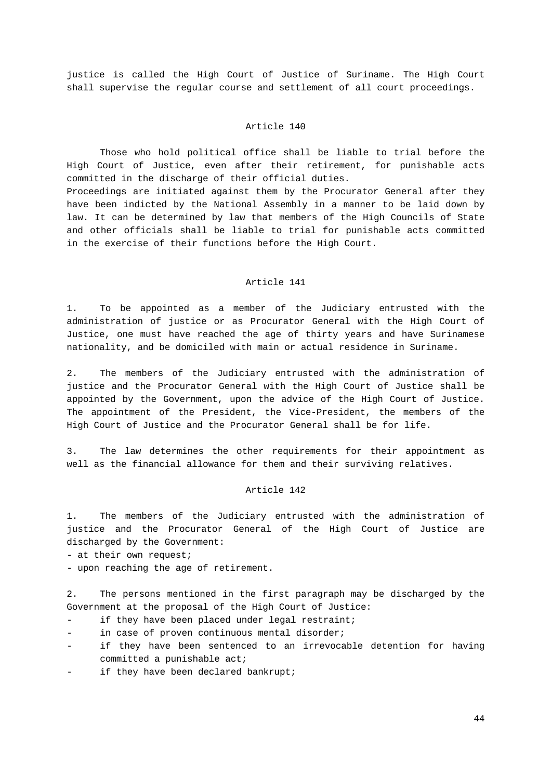justice is called the High Court of Justice of Suriname. The High Court shall supervise the regular course and settlement of all court proceedings.

# Article 140

Those who hold political office shall be liable to trial before the High Court of Justice, even after their retirement, for punishable acts committed in the discharge of their official duties. Proceedings are initiated against them by the Procurator General after they

have been indicted by the National Assembly in a manner to be laid down by law. It can be determined by law that members of the High Councils of State and other officials shall be liable to trial for punishable acts committed in the exercise of their functions before the High Court.

#### Article 141

1. To be appointed as a member of the Judiciary entrusted with the administration of justice or as Procurator General with the High Court of Justice, one must have reached the age of thirty years and have Surinamese nationality, and be domiciled with main or actual residence in Suriname.

2. The members of the Judiciary entrusted with the administration of justice and the Procurator General with the High Court of Justice shall be appointed by the Government, upon the advice of the High Court of Justice. The appointment of the President, the Vice-President, the members of the High Court of Justice and the Procurator General shall be for life.

3. The law determines the other requirements for their appointment as well as the financial allowance for them and their surviving relatives.

# Article 142

1. The members of the Judiciary entrusted with the administration of justice and the Procurator General of the High Court of Justice are discharged by the Government:

- at their own request;

- upon reaching the age of retirement.

2. The persons mentioned in the first paragraph may be discharged by the Government at the proposal of the High Court of Justice:

- if they have been placed under legal restraint;
- in case of proven continuous mental disorder;
- if they have been sentenced to an irrevocable detention for having committed a punishable act;
- if they have been declared bankrupt;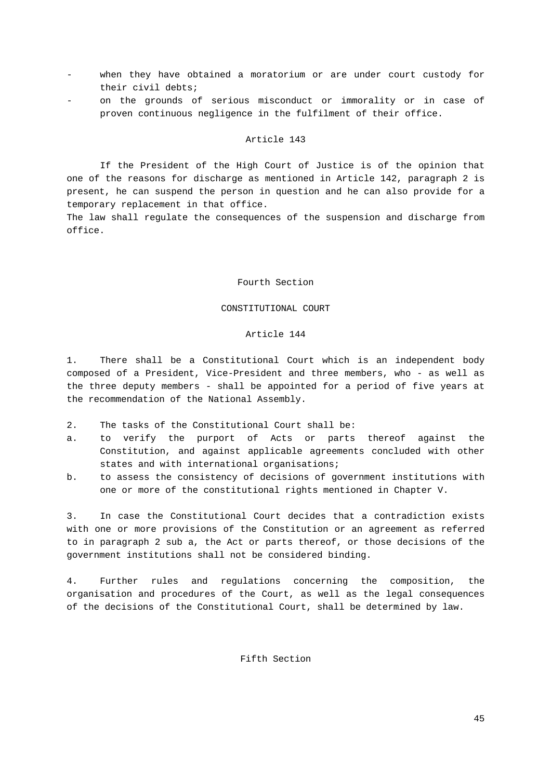- when they have obtained a moratorium or are under court custody for their civil debts;
- on the grounds of serious misconduct or immorality or in case of proven continuous negligence in the fulfilment of their office.

If the President of the High Court of Justice is of the opinion that one of the reasons for discharge as mentioned in Article 142, paragraph 2 is present, he can suspend the person in question and he can also provide for a temporary replacement in that office.

The law shall regulate the consequences of the suspension and discharge from office.

#### Fourth Section

# CONSTITUTIONAL COURT

#### Article 144

1. There shall be a Constitutional Court which is an independent body composed of a President, Vice-President and three members, who - as well as the three deputy members - shall be appointed for a period of five years at the recommendation of the National Assembly.

- 2. The tasks of the Constitutional Court shall be:
- a. to verify the purport of Acts or parts thereof against the Constitution, and against applicable agreements concluded with other states and with international organisations;
- b. to assess the consistency of decisions of government institutions with one or more of the constitutional rights mentioned in Chapter V.

3. In case the Constitutional Court decides that a contradiction exists with one or more provisions of the Constitution or an agreement as referred to in paragraph 2 sub a, the Act or parts thereof, or those decisions of the government institutions shall not be considered binding.

4. Further rules and regulations concerning the composition, the organisation and procedures of the Court, as well as the legal consequences of the decisions of the Constitutional Court, shall be determined by law.

# Fifth Section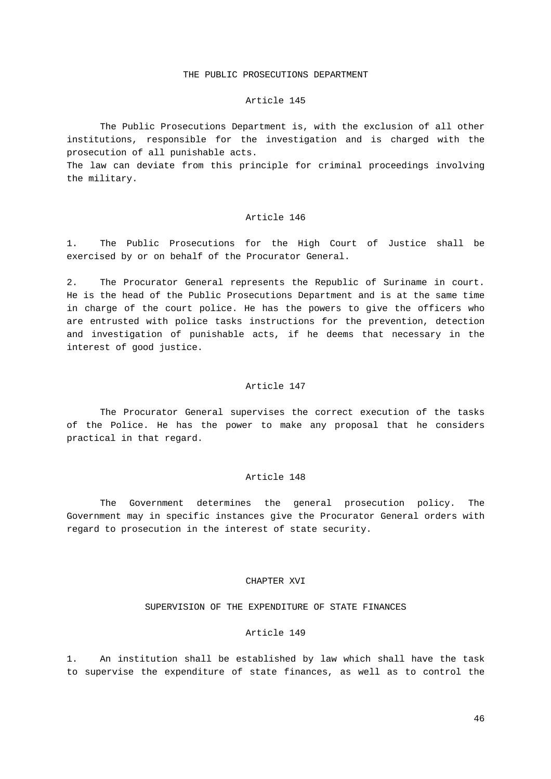# THE PUBLIC PROSECUTIONS DEPARTMENT

#### Article 145

The Public Prosecutions Department is, with the exclusion of all other institutions, responsible for the investigation and is charged with the prosecution of all punishable acts.

The law can deviate from this principle for criminal proceedings involving the military.

### Article 146

1. The Public Prosecutions for the High Court of Justice shall be exercised by or on behalf of the Procurator General.

2. The Procurator General represents the Republic of Suriname in court. He is the head of the Public Prosecutions Department and is at the same time in charge of the court police. He has the powers to give the officers who are entrusted with police tasks instructions for the prevention, detection and investigation of punishable acts, if he deems that necessary in the interest of good justice.

#### Article 147

The Procurator General supervises the correct execution of the tasks of the Police. He has the power to make any proposal that he considers practical in that regard.

#### Article 148

The Government determines the general prosecution policy. The Government may in specific instances give the Procurator General orders with regard to prosecution in the interest of state security.

#### CHAPTER XVI

#### SUPERVISION OF THE EXPENDITURE OF STATE FINANCES

#### Article 149

1. An institution shall be established by law which shall have the task to supervise the expenditure of state finances, as well as to control the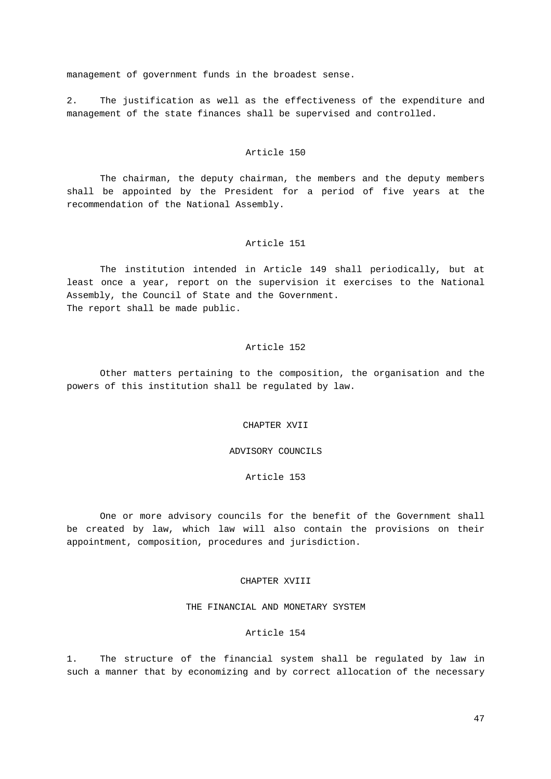management of government funds in the broadest sense.

2. The justification as well as the effectiveness of the expenditure and management of the state finances shall be supervised and controlled.

#### Article 150

The chairman, the deputy chairman, the members and the deputy members shall be appointed by the President for a period of five years at the recommendation of the National Assembly.

# Article 151

The institution intended in Article 149 shall periodically, but at least once a year, report on the supervision it exercises to the National Assembly, the Council of State and the Government. The report shall be made public.

# Article 152

Other matters pertaining to the composition, the organisation and the powers of this institution shall be regulated by law.

#### CHAPTER XVII

ADVISORY COUNCILS

Article 153

One or more advisory councils for the benefit of the Government shall be created by law, which law will also contain the provisions on their appointment, composition, procedures and jurisdiction.

#### CHAPTER XVIII

# THE FINANCIAL AND MONETARY SYSTEM

#### Article 154

1. The structure of the financial system shall be regulated by law in such a manner that by economizing and by correct allocation of the necessary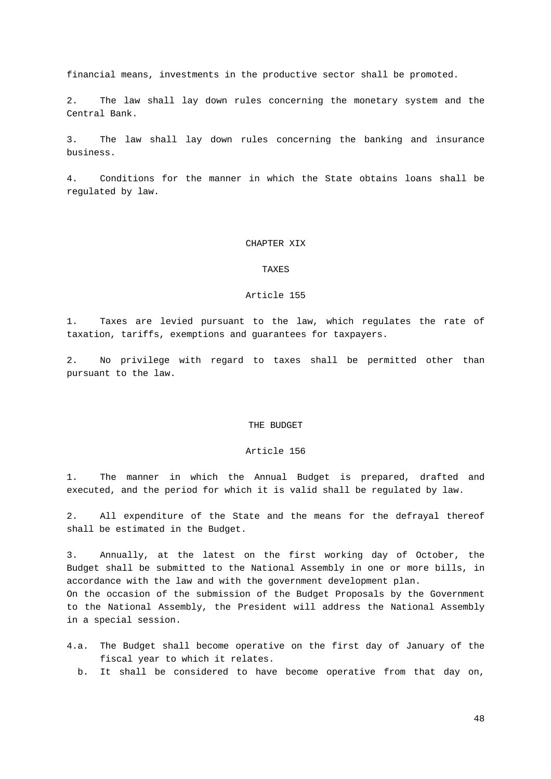financial means, investments in the productive sector shall be promoted.

2. The law shall lay down rules concerning the monetary system and the Central Bank.

3. The law shall lay down rules concerning the banking and insurance business.

4. Conditions for the manner in which the State obtains loans shall be regulated by law.

# CHAPTER XIX

# TAXES

#### Article 155

1. Taxes are levied pursuant to the law, which regulates the rate of taxation, tariffs, exemptions and guarantees for taxpayers.

2. No privilege with regard to taxes shall be permitted other than pursuant to the law.

#### THE BUDGET

#### Article 156

1. The manner in which the Annual Budget is prepared, drafted and executed, and the period for which it is valid shall be regulated by law.

2. All expenditure of the State and the means for the defrayal thereof shall be estimated in the Budget.

3. Annually, at the latest on the first working day of October, the Budget shall be submitted to the National Assembly in one or more bills, in accordance with the law and with the government development plan. On the occasion of the submission of the Budget Proposals by the Government to the National Assembly, the President will address the National Assembly in a special session.

- 4.a. The Budget shall become operative on the first day of January of the fiscal year to which it relates.
	- b. It shall be considered to have become operative from that day on,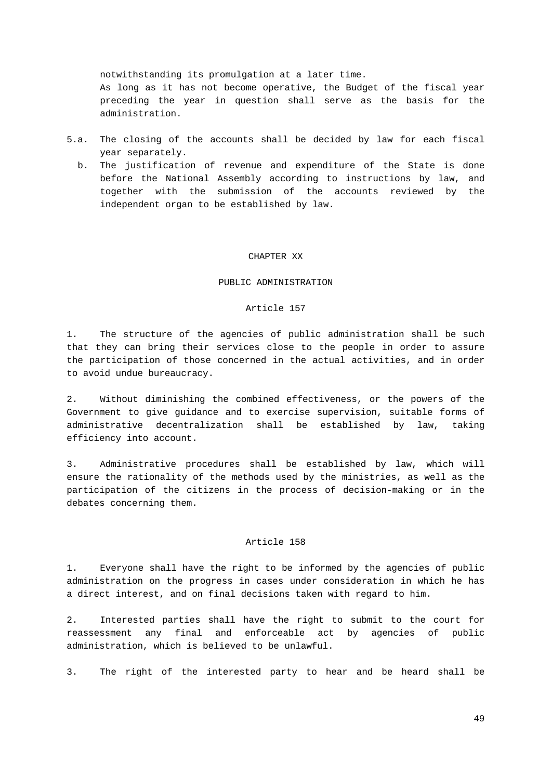notwithstanding its promulgation at a later time.

As long as it has not become operative, the Budget of the fiscal year preceding the year in question shall serve as the basis for the administration.

- 5.a. The closing of the accounts shall be decided by law for each fiscal year separately.
	- b. The justification of revenue and expenditure of the State is done before the National Assembly according to instructions by law, and together with the submission of the accounts reviewed by the independent organ to be established by law.

#### CHAPTER XX

#### PUBLIC ADMINISTRATION

# Article 157

1. The structure of the agencies of public administration shall be such that they can bring their services close to the people in order to assure the participation of those concerned in the actual activities, and in order to avoid undue bureaucracy.

2. Without diminishing the combined effectiveness, or the powers of the Government to give guidance and to exercise supervision, suitable forms of administrative decentralization shall be established by law, taking efficiency into account.

3. Administrative procedures shall be established by law, which will ensure the rationality of the methods used by the ministries, as well as the participation of the citizens in the process of decision-making or in the debates concerning them.

# Article 158

1. Everyone shall have the right to be informed by the agencies of public administration on the progress in cases under consideration in which he has a direct interest, and on final decisions taken with regard to him.

2. Interested parties shall have the right to submit to the court for reassessment any final and enforceable act by agencies of public administration, which is believed to be unlawful.

3. The right of the interested party to hear and be heard shall be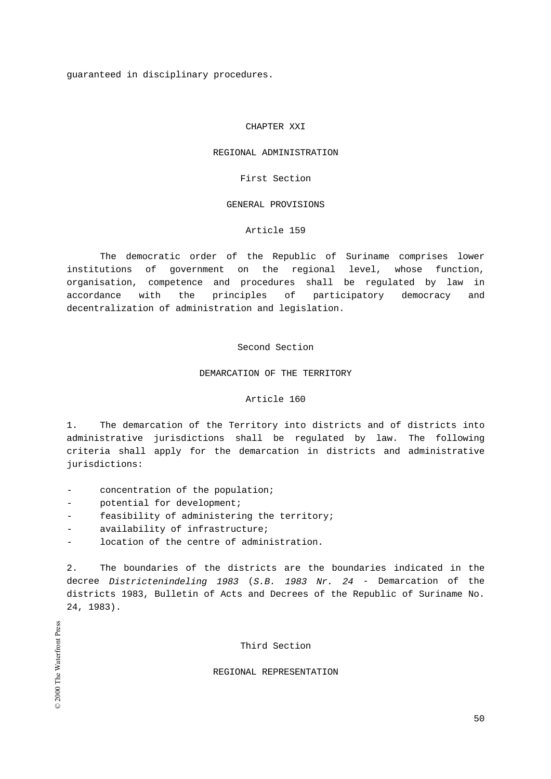guaranteed in disciplinary procedures.

# CHAPTER XXI

#### REGIONAL ADMINISTRATION

First Section

#### GENERAL PROVISIONS

# Article 159

The democratic order of the Republic of Suriname comprises lower institutions of government on the regional level, whose function, organisation, competence and procedures shall be regulated by law in accordance with the principles of participatory democracy and decentralization of administration and legislation.

# Second Section

#### DEMARCATION OF THE TERRITORY

# Article 160

1. The demarcation of the Territory into districts and of districts into administrative jurisdictions shall be regulated by law. The following criteria shall apply for the demarcation in districts and administrative jurisdictions:

- concentration of the population;
- potential for development;
- feasibility of administering the territory;
- availability of infrastructure;
- location of the centre of administration.

2. The boundaries of the districts are the boundaries indicated in the decree Districtenindeling 1983 (S.B. 1983 Nr. 24 - Demarcation of the districts 1983, Bulletin of Acts and Decrees of the Republic of Suriname No. 24, 1983).

Third Section

### REGIONAL REPRESENTATION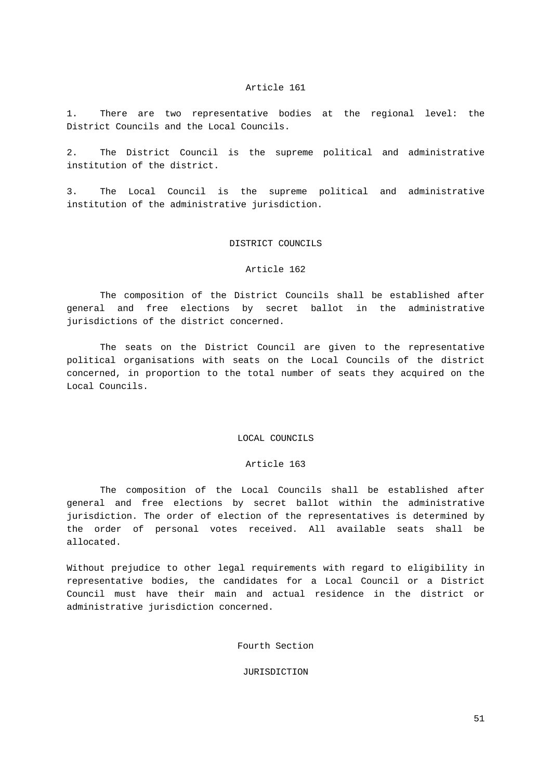1. There are two representative bodies at the regional level: the District Councils and the Local Councils.

2. The District Council is the supreme political and administrative institution of the district.

3. The Local Council is the supreme political and administrative institution of the administrative jurisdiction.

# DISTRICT COUNCILS

# Article 162

The composition of the District Councils shall be established after general and free elections by secret ballot in the administrative jurisdictions of the district concerned.

The seats on the District Council are given to the representative political organisations with seats on the Local Councils of the district concerned, in proportion to the total number of seats they acquired on the Local Councils.

#### LOCAL COUNCILS

#### Article 163

The composition of the Local Councils shall be established after general and free elections by secret ballot within the administrative jurisdiction. The order of election of the representatives is determined by the order of personal votes received. All available seats shall be allocated.

Without prejudice to other legal requirements with regard to eligibility in representative bodies, the candidates for a Local Council or a District Council must have their main and actual residence in the district or administrative jurisdiction concerned.

Fourth Section

### JURISDICTION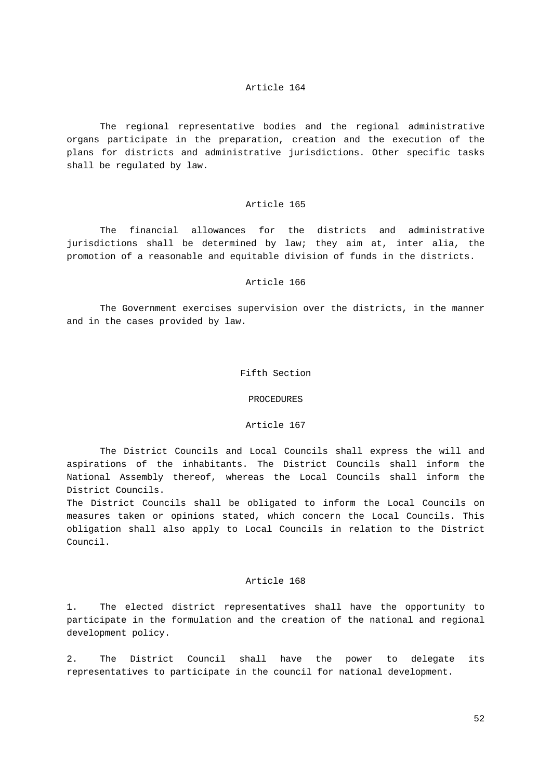The regional representative bodies and the regional administrative organs participate in the preparation, creation and the execution of the plans for districts and administrative jurisdictions. Other specific tasks shall be regulated by law.

#### Article 165

The financial allowances for the districts and administrative jurisdictions shall be determined by law; they aim at, inter alia, the promotion of a reasonable and equitable division of funds in the districts.

# Article 166

The Government exercises supervision over the districts, in the manner and in the cases provided by law.

# Fifth Section

# PROCEDURES

# Article 167

The District Councils and Local Councils shall express the will and aspirations of the inhabitants. The District Councils shall inform the National Assembly thereof, whereas the Local Councils shall inform the District Councils.

The District Councils shall be obligated to inform the Local Councils on measures taken or opinions stated, which concern the Local Councils. This obligation shall also apply to Local Councils in relation to the District Council.

#### Article 168

1. The elected district representatives shall have the opportunity to participate in the formulation and the creation of the national and regional development policy.

2. The District Council shall have the power to delegate its representatives to participate in the council for national development.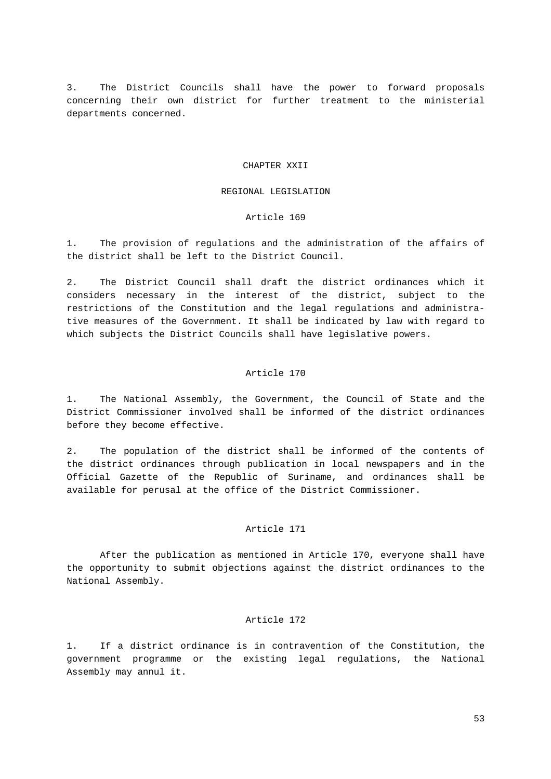3. The District Councils shall have the power to forward proposals concerning their own district for further treatment to the ministerial departments concerned.

#### CHAPTER XXII

#### REGIONAL LEGISLATION

# Article 169

1. The provision of regulations and the administration of the affairs of the district shall be left to the District Council.

2. The District Council shall draft the district ordinances which it considers necessary in the interest of the district, subject to the restrictions of the Constitution and the legal regulations and administrative measures of the Government. It shall be indicated by law with regard to which subjects the District Councils shall have legislative powers.

# Article 170

1. The National Assembly, the Government, the Council of State and the District Commissioner involved shall be informed of the district ordinances before they become effective.

2. The population of the district shall be informed of the contents of the district ordinances through publication in local newspapers and in the Official Gazette of the Republic of Suriname, and ordinances shall be available for perusal at the office of the District Commissioner.

#### Article 171

After the publication as mentioned in Article 170, everyone shall have the opportunity to submit objections against the district ordinances to the National Assembly.

#### Article 172

1. If a district ordinance is in contravention of the Constitution, the government programme or the existing legal regulations, the National Assembly may annul it.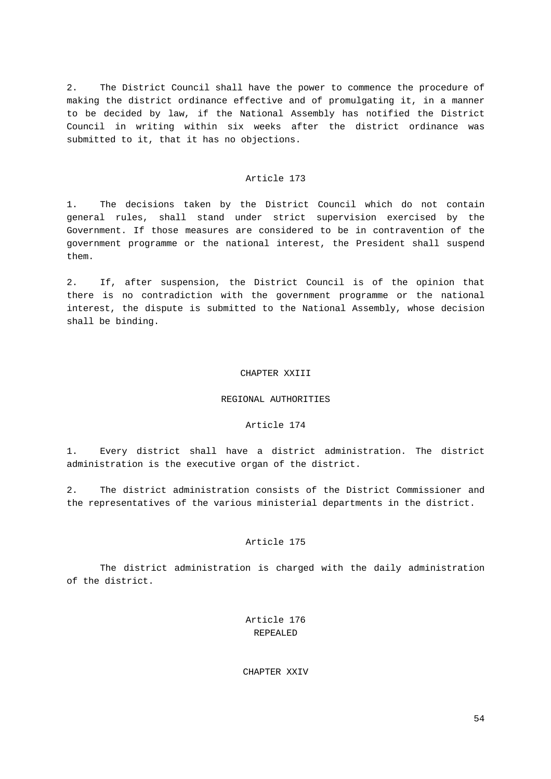2. The District Council shall have the power to commence the procedure of making the district ordinance effective and of promulgating it, in a manner to be decided by law, if the National Assembly has notified the District Council in writing within six weeks after the district ordinance was submitted to it, that it has no objections.

#### Article 173

1. The decisions taken by the District Council which do not contain general rules, shall stand under strict supervision exercised by the Government. If those measures are considered to be in contravention of the government programme or the national interest, the President shall suspend them.

2. If, after suspension, the District Council is of the opinion that there is no contradiction with the government programme or the national interest, the dispute is submitted to the National Assembly, whose decision shall be binding.

#### CHAPTER XXIII

# REGIONAL AUTHORITIES

#### Article 174

1. Every district shall have a district administration. The district administration is the executive organ of the district.

2. The district administration consists of the District Commissioner and the representatives of the various ministerial departments in the district.

# Article 175

The district administration is charged with the daily administration of the district.

# Article 176 REPEALED

CHAPTER XXIV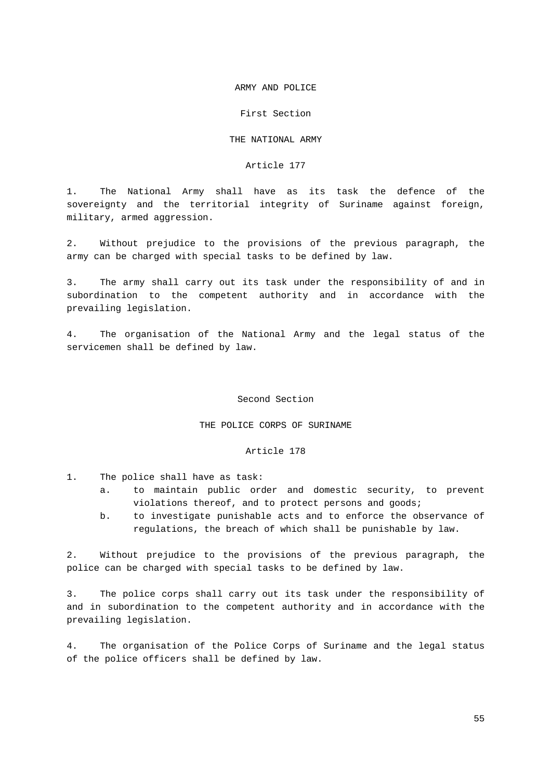### ARMY AND POLICE

#### First Section

# THE NATIONAL ARMY

#### Article 177

1. The National Army shall have as its task the defence of the sovereignty and the territorial integrity of Suriname against foreign, military, armed aggression.

2. Without prejudice to the provisions of the previous paragraph, the army can be charged with special tasks to be defined by law.

3. The army shall carry out its task under the responsibility of and in subordination to the competent authority and in accordance with the prevailing legislation.

4. The organisation of the National Army and the legal status of the servicemen shall be defined by law.

#### Second Section

# THE POLICE CORPS OF SURINAME

#### Article 178

- 1. The police shall have as task:
	- a. to maintain public order and domestic security, to prevent violations thereof, and to protect persons and goods;
	- b. to investigate punishable acts and to enforce the observance of regulations, the breach of which shall be punishable by law.

2. Without prejudice to the provisions of the previous paragraph, the police can be charged with special tasks to be defined by law.

3. The police corps shall carry out its task under the responsibility of and in subordination to the competent authority and in accordance with the prevailing legislation.

4. The organisation of the Police Corps of Suriname and the legal status of the police officers shall be defined by law.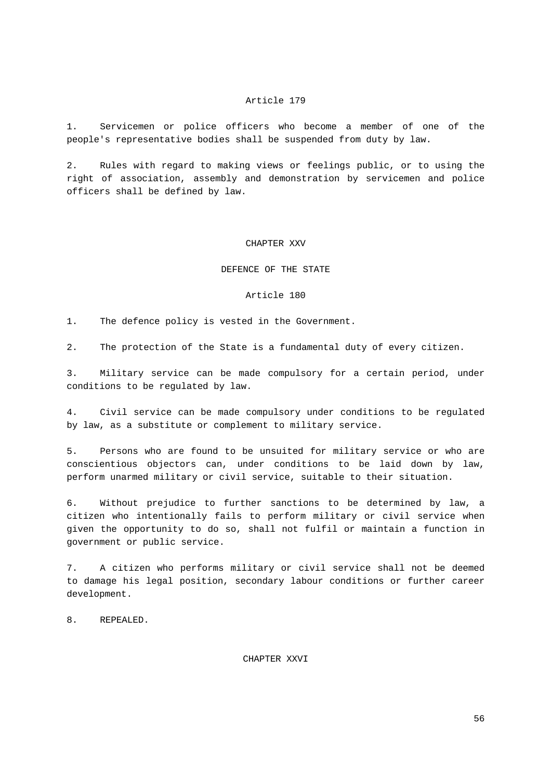1. Servicemen or police officers who become a member of one of the people's representative bodies shall be suspended from duty by law.

2. Rules with regard to making views or feelings public, or to using the right of association, assembly and demonstration by servicemen and police officers shall be defined by law.

### CHAPTER XXV

#### DEFENCE OF THE STATE

#### Article 180

1. The defence policy is vested in the Government.

2. The protection of the State is a fundamental duty of every citizen.

3. Military service can be made compulsory for a certain period, under conditions to be regulated by law.

4. Civil service can be made compulsory under conditions to be regulated by law, as a substitute or complement to military service.

5. Persons who are found to be unsuited for military service or who are conscientious objectors can, under conditions to be laid down by law, perform unarmed military or civil service, suitable to their situation.

6. Without prejudice to further sanctions to be determined by law, a citizen who intentionally fails to perform military or civil service when given the opportunity to do so, shall not fulfil or maintain a function in government or public service.

7. A citizen who performs military or civil service shall not be deemed to damage his legal position, secondary labour conditions or further career development.

8. REPEALED.

CHAPTER XXVI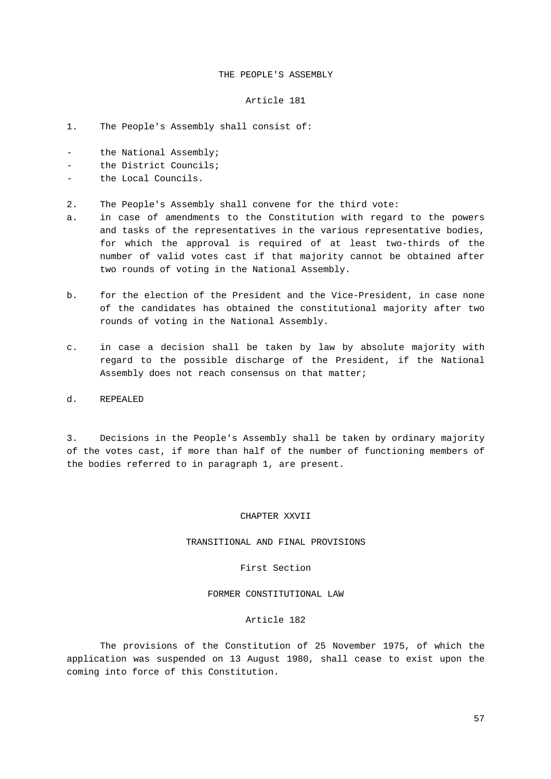# THE PEOPLE'S ASSEMBLY

#### Article 181

- 1. The People's Assembly shall consist of:
- the National Assembly;
- the District Councils;
- the Local Councils.
- 2. The People's Assembly shall convene for the third vote:
- a. in case of amendments to the Constitution with regard to the powers and tasks of the representatives in the various representative bodies, for which the approval is required of at least two-thirds of the number of valid votes cast if that majority cannot be obtained after two rounds of voting in the National Assembly.
- b. for the election of the President and the Vice-President, in case none of the candidates has obtained the constitutional majority after two rounds of voting in the National Assembly.
- c. in case a decision shall be taken by law by absolute majority with regard to the possible discharge of the President, if the National Assembly does not reach consensus on that matter;
- d. REPEALED

3. Decisions in the People's Assembly shall be taken by ordinary majority of the votes cast, if more than half of the number of functioning members of the bodies referred to in paragraph 1, are present.

# CHAPTER XXVII

# TRANSITIONAL AND FINAL PROVISIONS

#### First Section

# FORMER CONSTITUTIONAL LAW

#### Article 182

The provisions of the Constitution of 25 November 1975, of which the application was suspended on 13 August 1980, shall cease to exist upon the coming into force of this Constitution.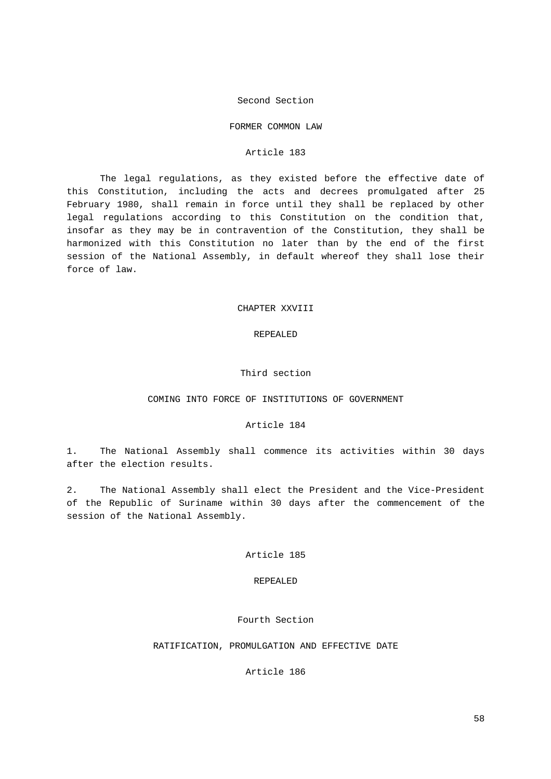#### Second Section

#### FORMER COMMON LAW

#### Article 183

The legal regulations, as they existed before the effective date of this Constitution, including the acts and decrees promulgated after 25 February 1980, shall remain in force until they shall be replaced by other legal regulations according to this Constitution on the condition that, insofar as they may be in contravention of the Constitution, they shall be harmonized with this Constitution no later than by the end of the first session of the National Assembly, in default whereof they shall lose their force of law.

# CHAPTER XXVIII

# REPEALED

# Third section

# COMING INTO FORCE OF INSTITUTIONS OF GOVERNMENT

# Article 184

1. The National Assembly shall commence its activities within 30 days after the election results.

2. The National Assembly shall elect the President and the Vice-President of the Republic of Suriname within 30 days after the commencement of the session of the National Assembly.

# Article 185

#### REPEALED

#### Fourth Section

#### RATIFICATION, PROMULGATION AND EFFECTIVE DATE

### Article 186